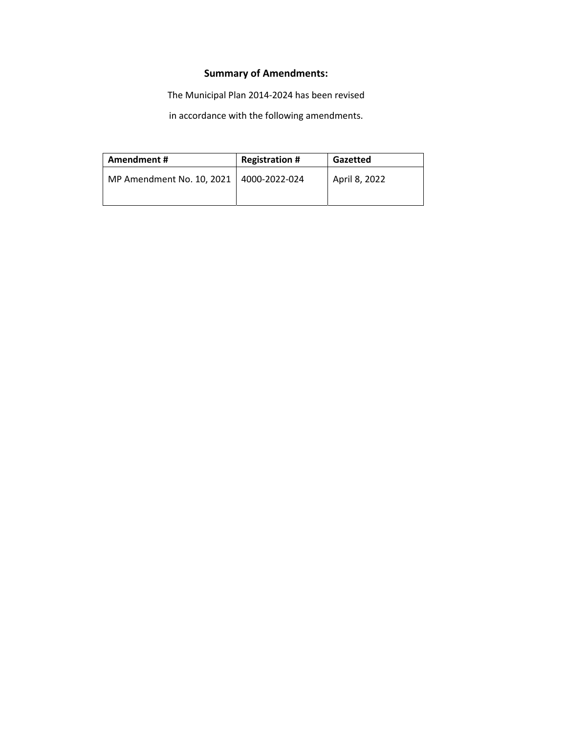# **Summary of Amendments:**

The Municipal Plan 2014-2024 has been revised

in accordance with the following amendments.

| Amendment#                                | <b>Registration #</b> | Gazetted      |  |
|-------------------------------------------|-----------------------|---------------|--|
| MP Amendment No. 10, 2021   4000-2022-024 |                       | April 8, 2022 |  |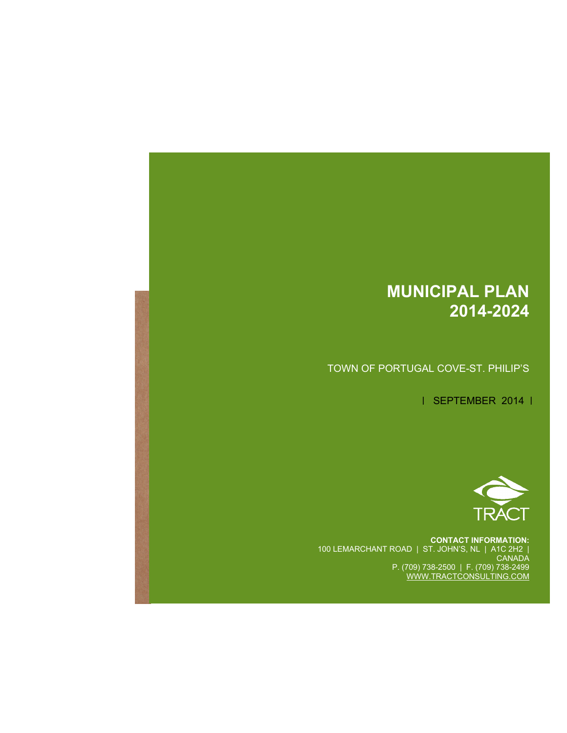# **MUNICIPAL PLAN 2014-2024**

TOWN OF PORTUGAL COVE-ST. PHILIP'S

| SEPTEMBER 2014 |



**CONTACT INFORMATION:**  100 LEMARCHANT ROAD | ST. JOHN'S, NL | A1C 2H2 | CANADA P. (709) 738-2500 | F. (709) 738-2499 WWW.TRACTCONSULTING.COM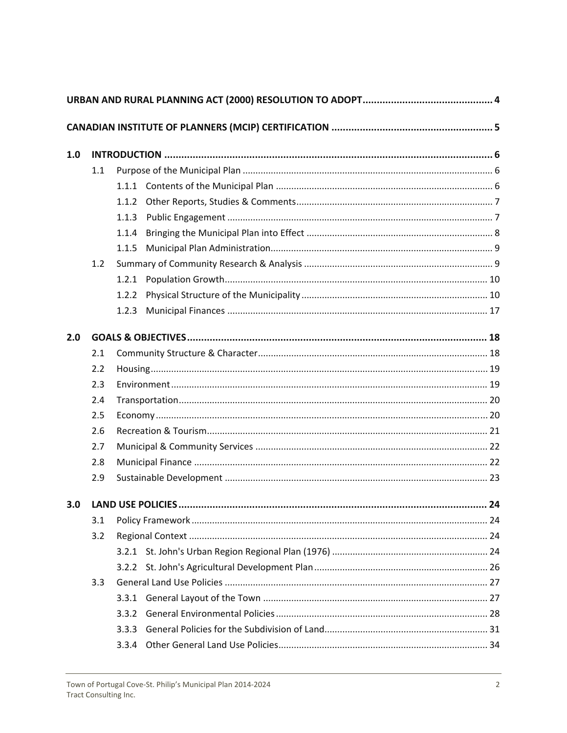| 1.0 |     |       |  |  |  |  |  |
|-----|-----|-------|--|--|--|--|--|
|     | 1.1 |       |  |  |  |  |  |
|     |     |       |  |  |  |  |  |
|     |     | 1.1.2 |  |  |  |  |  |
|     |     | 1.1.3 |  |  |  |  |  |
|     |     | 1.1.4 |  |  |  |  |  |
|     |     | 1.1.5 |  |  |  |  |  |
|     | 1.2 |       |  |  |  |  |  |
|     |     |       |  |  |  |  |  |
|     |     | 1.2.2 |  |  |  |  |  |
|     |     | 1.2.3 |  |  |  |  |  |
| 2.0 |     |       |  |  |  |  |  |
|     | 2.1 |       |  |  |  |  |  |
|     | 2.2 |       |  |  |  |  |  |
|     | 2.3 |       |  |  |  |  |  |
|     | 2.4 |       |  |  |  |  |  |
|     | 2.5 |       |  |  |  |  |  |
|     | 2.6 |       |  |  |  |  |  |
|     | 2.7 |       |  |  |  |  |  |
|     | 2.8 |       |  |  |  |  |  |
|     | 2.9 |       |  |  |  |  |  |
| 3.0 |     |       |  |  |  |  |  |
|     | 3.1 |       |  |  |  |  |  |
|     | 3.2 |       |  |  |  |  |  |
|     |     |       |  |  |  |  |  |
|     |     |       |  |  |  |  |  |
|     | 3.3 |       |  |  |  |  |  |
|     |     |       |  |  |  |  |  |
|     |     | 3.3.2 |  |  |  |  |  |
|     |     | 3.3.3 |  |  |  |  |  |
|     |     | 3.3.4 |  |  |  |  |  |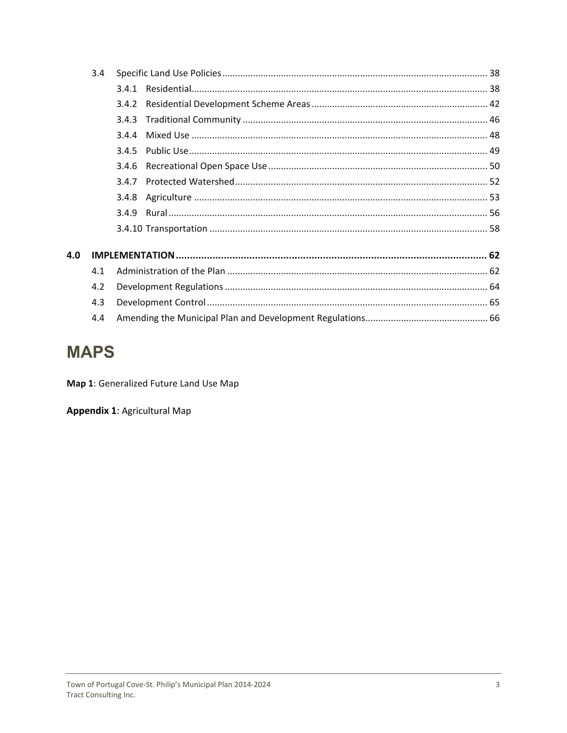|     | 3.4 |       |  |  |
|-----|-----|-------|--|--|
|     |     | 3.4.1 |  |  |
|     |     | 3.4.2 |  |  |
|     |     | 3.4.3 |  |  |
|     |     |       |  |  |
|     |     | 3.4.5 |  |  |
|     |     |       |  |  |
|     |     | 347   |  |  |
|     |     |       |  |  |
|     |     |       |  |  |
|     |     |       |  |  |
| 4.0 |     |       |  |  |
|     | 4.1 |       |  |  |
|     | 4.2 |       |  |  |
|     | 4.3 |       |  |  |
|     | 4.4 |       |  |  |

# **MAPS**

Map 1: Generalized Future Land Use Map

**Appendix 1: Agricultural Map**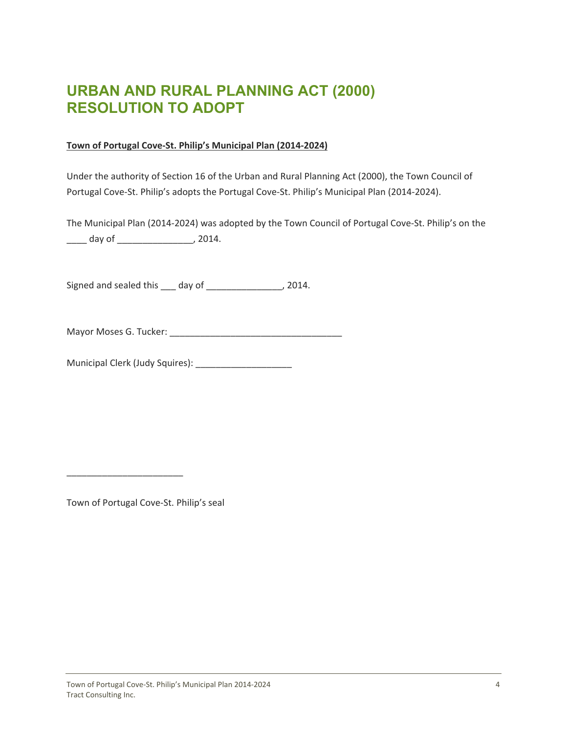# <span id="page-4-0"></span>**URBAN AND RURAL PLANNING ACT (2000) RESOLUTION TO ADOPT**

### **Town of Portugal Cove‐St. Philip's Municipal Plan (2014‐2024)**

Under the authority of Section 16 of the Urban and Rural Planning Act (2000), the Town Council of Portugal Cove‐St. Philip's adopts the Portugal Cove‐St. Philip's Municipal Plan (2014‐2024).

The Municipal Plan (2014‐2024) was adopted by the Town Council of Portugal Cove‐St. Philip's on the \_\_\_\_ day of \_\_\_\_\_\_\_\_\_\_\_\_\_\_\_, 2014.

Signed and sealed this \_\_\_ day of \_\_\_\_\_\_\_\_\_\_\_\_\_\_\_, 2014.

Mayor Moses G. Tucker: \_\_\_\_\_\_\_\_\_\_\_\_\_\_\_\_\_\_\_\_\_\_\_\_\_\_\_\_\_\_\_\_\_\_

Municipal Clerk (Judy Squires): \_\_\_\_\_\_\_\_\_\_\_\_\_\_\_\_\_\_\_

Town of Portugal Cove‐St. Philip's seal

\_\_\_\_\_\_\_\_\_\_\_\_\_\_\_\_\_\_\_\_\_\_\_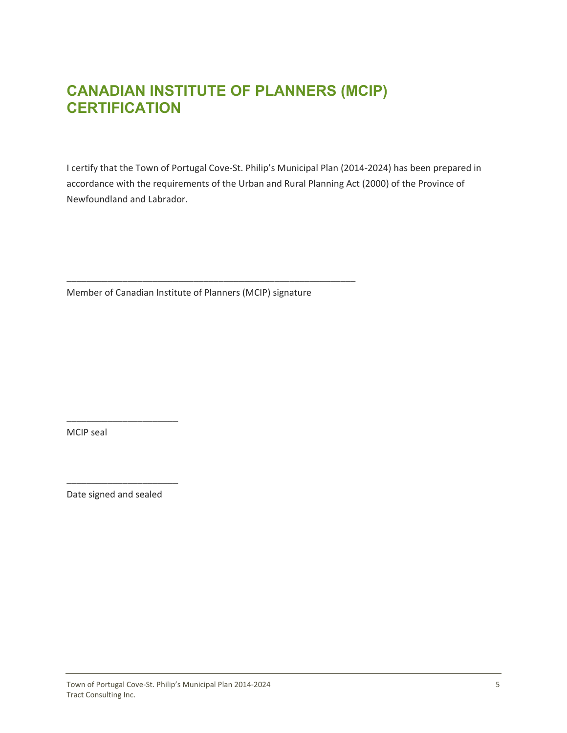# <span id="page-5-0"></span>**CANADIAN INSTITUTE OF PLANNERS (MCIP) CERTIFICATION**

I certify that the Town of Portugal Cove‐St. Philip's Municipal Plan (2014‐2024) has been prepared in accordance with the requirements of the Urban and Rural Planning Act (2000) of the Province of Newfoundland and Labrador.

Member of Canadian Institute of Planners (MCIP) signature

\_\_\_\_\_\_\_\_\_\_\_\_\_\_\_\_\_\_\_\_\_\_\_\_\_\_\_\_\_\_\_\_\_\_\_\_\_\_\_\_\_\_\_\_\_\_\_\_\_\_\_\_\_\_\_\_\_

MCIP seal

Date signed and sealed

\_\_\_\_\_\_\_\_\_\_\_\_\_\_\_\_\_\_\_\_\_\_

\_\_\_\_\_\_\_\_\_\_\_\_\_\_\_\_\_\_\_\_\_\_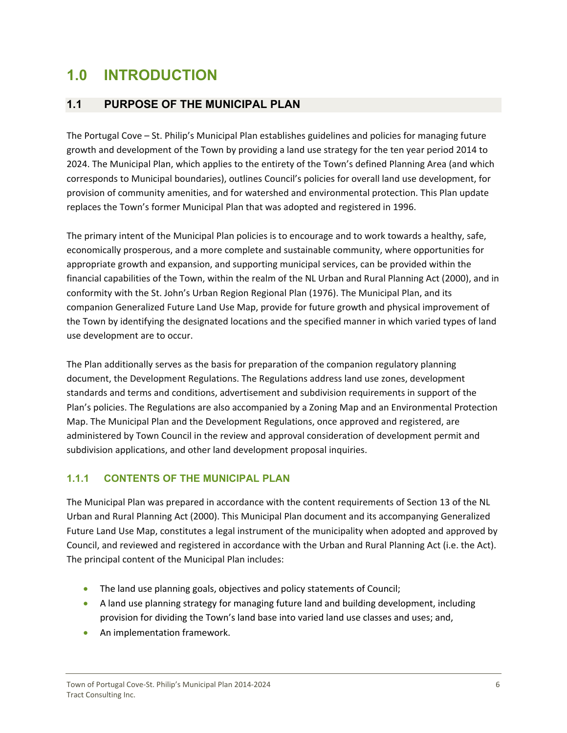# <span id="page-6-0"></span>**1.0 INTRODUCTION**

# **1.1 PURPOSE OF THE MUNICIPAL PLAN**

The Portugal Cove – St. Philip's Municipal Plan establishes guidelines and policies for managing future growth and development of the Town by providing a land use strategy for the ten year period 2014 to 2024. The Municipal Plan, which applies to the entirety of the Town's defined Planning Area (and which corresponds to Municipal boundaries), outlines Council's policies for overall land use development, for provision of community amenities, and for watershed and environmental protection. This Plan update replaces the Town's former Municipal Plan that was adopted and registered in 1996.

The primary intent of the Municipal Plan policies is to encourage and to work towards a healthy, safe, economically prosperous, and a more complete and sustainable community, where opportunities for appropriate growth and expansion, and supporting municipal services, can be provided within the financial capabilities of the Town, within the realm of the NL Urban and Rural Planning Act (2000), and in conformity with the St. John's Urban Region Regional Plan (1976). The Municipal Plan, and its companion Generalized Future Land Use Map, provide for future growth and physical improvement of the Town by identifying the designated locations and the specified manner in which varied types of land use development are to occur.

The Plan additionally serves as the basis for preparation of the companion regulatory planning document, the Development Regulations. The Regulations address land use zones, development standards and terms and conditions, advertisement and subdivision requirements in support of the Plan's policies. The Regulations are also accompanied by a Zoning Map and an Environmental Protection Map. The Municipal Plan and the Development Regulations, once approved and registered, are administered by Town Council in the review and approval consideration of development permit and subdivision applications, and other land development proposal inquiries.

# **1.1.1 CONTENTS OF THE MUNICIPAL PLAN**

The Municipal Plan was prepared in accordance with the content requirements of Section 13 of the NL Urban and Rural Planning Act (2000). This Municipal Plan document and its accompanying Generalized Future Land Use Map, constitutes a legal instrument of the municipality when adopted and approved by Council, and reviewed and registered in accordance with the Urban and Rural Planning Act (i.e. the Act). The principal content of the Municipal Plan includes:

- The land use planning goals, objectives and policy statements of Council;
- A land use planning strategy for managing future land and building development, including provision for dividing the Town's land base into varied land use classes and uses; and,
- **•** An implementation framework.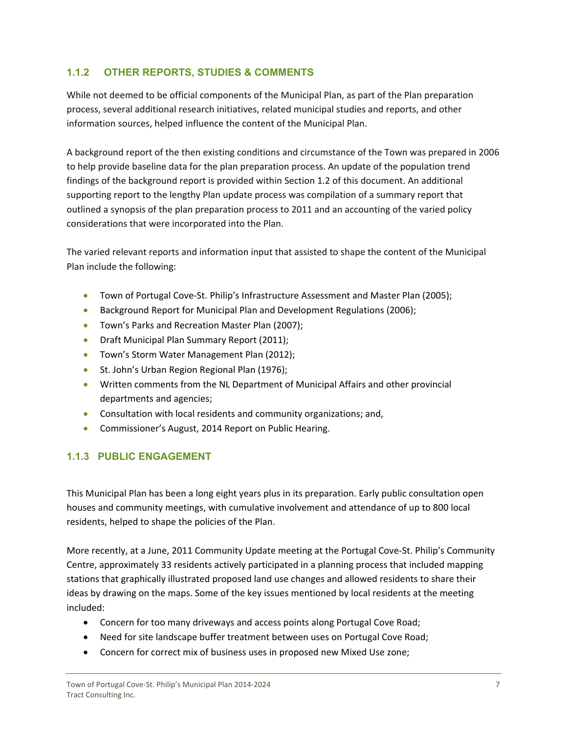# <span id="page-7-0"></span>**1.1.2 OTHER REPORTS, STUDIES & COMMENTS**

While not deemed to be official components of the Municipal Plan, as part of the Plan preparation process, several additional research initiatives, related municipal studies and reports, and other information sources, helped influence the content of the Municipal Plan.

A background report of the then existing conditions and circumstance of the Town was prepared in 2006 to help provide baseline data for the plan preparation process. An update of the population trend findings of the background report is provided within Section 1.2 of this document. An additional supporting report to the lengthy Plan update process was compilation of a summary report that outlined a synopsis of the plan preparation process to 2011 and an accounting of the varied policy considerations that were incorporated into the Plan.

The varied relevant reports and information input that assisted to shape the content of the Municipal Plan include the following:

- Town of Portugal Cove-St. Philip's Infrastructure Assessment and Master Plan (2005);
- Background Report for Municipal Plan and Development Regulations (2006);
- **•** Town's Parks and Recreation Master Plan (2007);
- **•** Draft Municipal Plan Summary Report (2011);
- **•** Town's Storm Water Management Plan (2012);
- **St. John's Urban Region Regional Plan (1976);**
- Written comments from the NL Department of Municipal Affairs and other provincial departments and agencies;
- Consultation with local residents and community organizations; and,
- **Commissioner's August, 2014 Report on Public Hearing.**

# **1.1.3 PUBLIC ENGAGEMENT**

This Municipal Plan has been a long eight years plus in its preparation. Early public consultation open houses and community meetings, with cumulative involvement and attendance of up to 800 local residents, helped to shape the policies of the Plan.

More recently, at a June, 2011 Community Update meeting at the Portugal Cove‐St. Philip's Community Centre, approximately 33 residents actively participated in a planning process that included mapping stations that graphically illustrated proposed land use changes and allowed residents to share their ideas by drawing on the maps. Some of the key issues mentioned by local residents at the meeting included:

- Concern for too many driveways and access points along Portugal Cove Road;
- Need for site landscape buffer treatment between uses on Portugal Cove Road;
- Concern for correct mix of business uses in proposed new Mixed Use zone;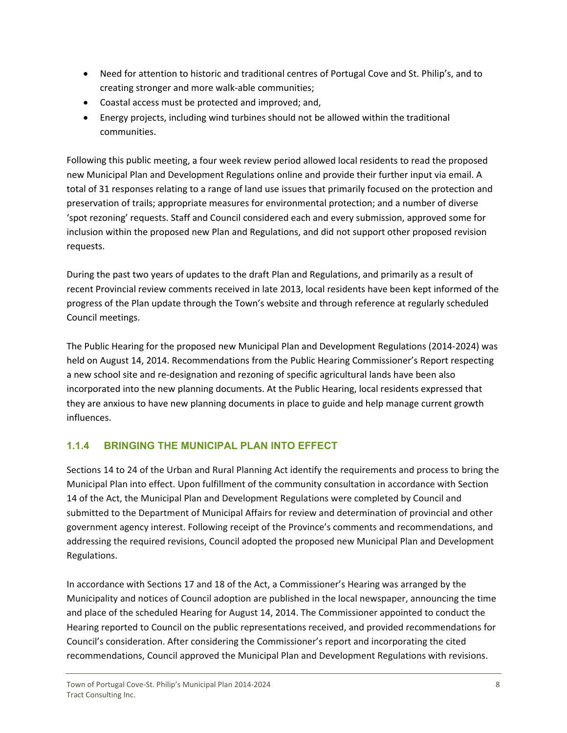- <span id="page-8-0"></span> Need for attention to historic and traditional centres of Portugal Cove and St. Philip's, and to creating stronger and more walk‐able communities;
- Coastal access must be protected and improved; and,
- Energy projects, including wind turbines should not be allowed within the traditional communities.

Following this public meeting, a four week review period allowed local residents to read the proposed new Municipal Plan and Development Regulations online and provide their further input via email. A total of 31 responses relating to a range of land use issues that primarily focused on the protection and preservation of trails; appropriate measures for environmental protection; and a number of diverse 'spot rezoning' requests. Staff and Council considered each and every submission, approved some for inclusion within the proposed new Plan and Regulations, and did not support other proposed revision requests.

During the past two years of updates to the draft Plan and Regulations, and primarily as a result of recent Provincial review comments received in late 2013, local residents have been kept informed of the progress of the Plan update through the Town's website and through reference at regularly scheduled Council meetings.

The Public Hearing for the proposed new Municipal Plan and Development Regulations (2014‐2024) was held on August 14, 2014. Recommendations from the Public Hearing Commissioner's Report respecting a new school site and re-designation and rezoning of specific agricultural lands have been also incorporated into the new planning documents. At the Public Hearing, local residents expressed that they are anxious to have new planning documents in place to guide and help manage current growth influences.

# **1.1.4 BRINGING THE MUNICIPAL PLAN INTO EFFECT**

Sections 14 to 24 of the Urban and Rural Planning Act identify the requirements and process to bring the Municipal Plan into effect. Upon fulfillment of the community consultation in accordance with Section 14 of the Act, the Municipal Plan and Development Regulations were completed by Council and submitted to the Department of Municipal Affairs for review and determination of provincial and other government agency interest. Following receipt of the Province's comments and recommendations, and addressing the required revisions, Council adopted the proposed new Municipal Plan and Development Regulations.

In accordance with Sections 17 and 18 of the Act, a Commissioner's Hearing was arranged by the Municipality and notices of Council adoption are published in the local newspaper, announcing the time and place of the scheduled Hearing for August 14, 2014. The Commissioner appointed to conduct the Hearing reported to Council on the public representations received, and provided recommendations for Council's consideration. After considering the Commissioner's report and incorporating the cited recommendations, Council approved the Municipal Plan and Development Regulations with revisions.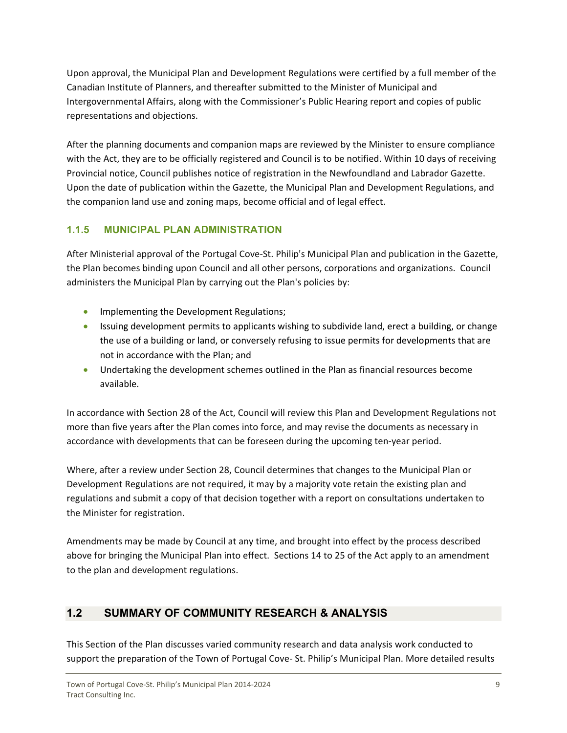<span id="page-9-0"></span>Upon approval, the Municipal Plan and Development Regulations were certified by a full member of the Canadian Institute of Planners, and thereafter submitted to the Minister of Municipal and Intergovernmental Affairs, along with the Commissioner's Public Hearing report and copies of public representations and objections.

After the planning documents and companion maps are reviewed by the Minister to ensure compliance with the Act, they are to be officially registered and Council is to be notified. Within 10 days of receiving Provincial notice, Council publishes notice of registration in the Newfoundland and Labrador Gazette. Upon the date of publication within the Gazette, the Municipal Plan and Development Regulations, and the companion land use and zoning maps, become official and of legal effect.

# **1.1.5 MUNICIPAL PLAN ADMINISTRATION**

After Ministerial approval of the Portugal Cove‐St. Philip's Municipal Plan and publication in the Gazette, the Plan becomes binding upon Council and all other persons, corporations and organizations. Council administers the Municipal Plan by carrying out the Plan's policies by:

- **Implementing the Development Regulations;**
- Issuing development permits to applicants wishing to subdivide land, erect a building, or change the use of a building or land, or conversely refusing to issue permits for developments that are not in accordance with the Plan; and
- Undertaking the development schemes outlined in the Plan as financial resources become available.

In accordance with Section 28 of the Act, Council will review this Plan and Development Regulations not more than five years after the Plan comes into force, and may revise the documents as necessary in accordance with developments that can be foreseen during the upcoming ten‐year period.

Where, after a review under Section 28, Council determines that changes to the Municipal Plan or Development Regulations are not required, it may by a majority vote retain the existing plan and regulations and submit a copy of that decision together with a report on consultations undertaken to the Minister for registration.

Amendments may be made by Council at any time, and brought into effect by the process described above for bringing the Municipal Plan into effect. Sections 14 to 25 of the Act apply to an amendment to the plan and development regulations.

# **1.2 SUMMARY OF COMMUNITY RESEARCH & ANALYSIS**

This Section of the Plan discusses varied community research and data analysis work conducted to support the preparation of the Town of Portugal Cove- St. Philip's Municipal Plan. More detailed results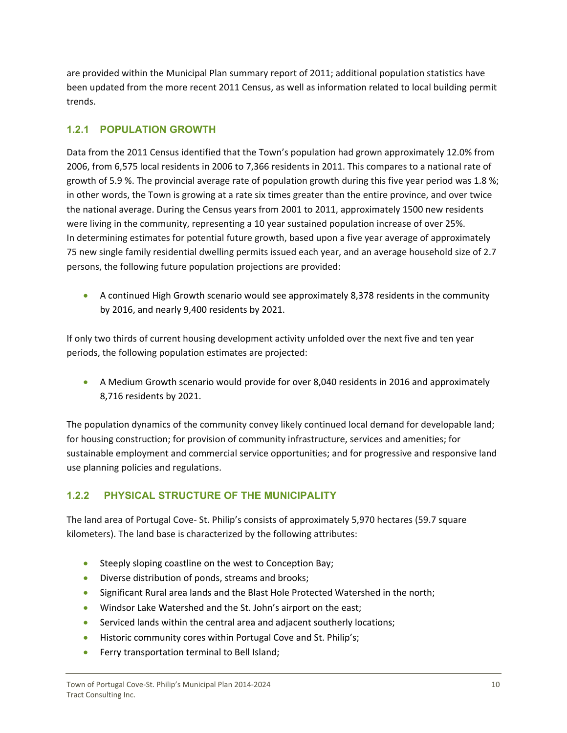<span id="page-10-0"></span>are provided within the Municipal Plan summary report of 2011; additional population statistics have been updated from the more recent 2011 Census, as well as information related to local building permit trends.

# **1.2.1 POPULATION GROWTH**

Data from the 2011 Census identified that the Town's population had grown approximately 12.0% from 2006, from 6,575 local residents in 2006 to 7,366 residents in 2011. This compares to a national rate of growth of 5.9 %. The provincial average rate of population growth during this five year period was 1.8 %; in other words, the Town is growing at a rate six times greater than the entire province, and over twice the national average. During the Census years from 2001 to 2011, approximately 1500 new residents were living in the community, representing a 10 year sustained population increase of over 25%. In determining estimates for potential future growth, based upon a five year average of approximately 75 new single family residential dwelling permits issued each year, and an average household size of 2.7 persons, the following future population projections are provided:

 A continued High Growth scenario would see approximately 8,378 residents in the community by 2016, and nearly 9,400 residents by 2021.

If only two thirds of current housing development activity unfolded over the next five and ten year periods, the following population estimates are projected:

 A Medium Growth scenario would provide for over 8,040 residents in 2016 and approximately 8,716 residents by 2021.

The population dynamics of the community convey likely continued local demand for developable land; for housing construction; for provision of community infrastructure, services and amenities; for sustainable employment and commercial service opportunities; and for progressive and responsive land use planning policies and regulations.

# **1.2.2 PHYSICAL STRUCTURE OF THE MUNICIPALITY**

The land area of Portugal Cove‐ St. Philip's consists of approximately 5,970 hectares (59.7 square kilometers). The land base is characterized by the following attributes:

- Steeply sloping coastline on the west to Conception Bay;
- **Diverse distribution of ponds, streams and brooks;**
- Significant Rural area lands and the Blast Hole Protected Watershed in the north;
- Windsor Lake Watershed and the St. John's airport on the east;
- Serviced lands within the central area and adjacent southerly locations;
- **•** Historic community cores within Portugal Cove and St. Philip's;
- **•** Ferry transportation terminal to Bell Island;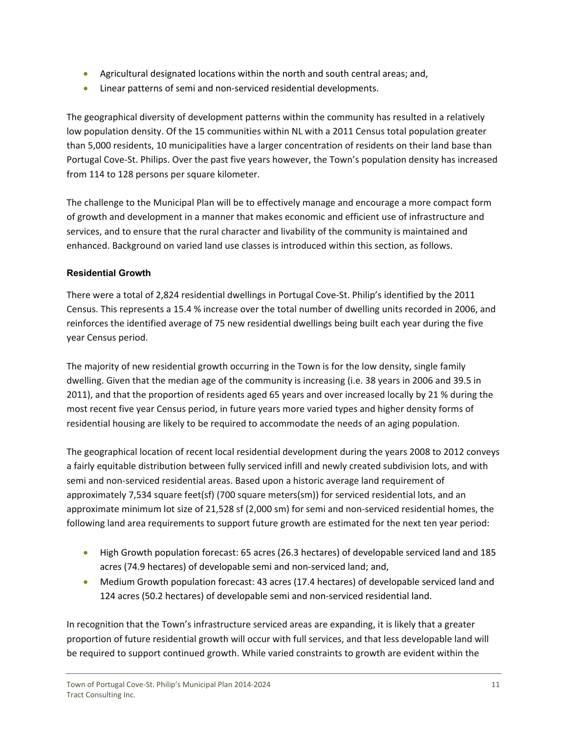- Agricultural designated locations within the north and south central areas; and,
- Linear patterns of semi and non-serviced residential developments.

The geographical diversity of development patterns within the community has resulted in a relatively low population density. Of the 15 communities within NL with a 2011 Census total population greater than 5,000 residents, 10 municipalities have a larger concentration of residents on their land base than Portugal Cove‐St. Philips. Over the past five years however, the Town's population density has increased from 114 to 128 persons per square kilometer.

The challenge to the Municipal Plan will be to effectively manage and encourage a more compact form of growth and development in a manner that makes economic and efficient use of infrastructure and services, and to ensure that the rural character and livability of the community is maintained and enhanced. Background on varied land use classes is introduced within this section, as follows.

#### **Residential Growth**

There were a total of 2,824 residential dwellings in Portugal Cove-St. Philip's identified by the 2011 Census. This represents a 15.4 % increase over the total number of dwelling units recorded in 2006, and reinforces the identified average of 75 new residential dwellings being built each year during the five year Census period.

The majority of new residential growth occurring in the Town is for the low density, single family dwelling. Given that the median age of the community is increasing (i.e. 38 years in 2006 and 39.5 in 2011), and that the proportion of residents aged 65 years and over increased locally by 21 % during the most recent five year Census period, in future years more varied types and higher density forms of residential housing are likely to be required to accommodate the needs of an aging population.

The geographical location of recent local residential development during the years 2008 to 2012 conveys a fairly equitable distribution between fully serviced infill and newly created subdivision lots, and with semi and non‐serviced residential areas. Based upon a historic average land requirement of approximately 7,534 square feet(sf) (700 square meters(sm)) for serviced residential lots, and an approximate minimum lot size of 21,528 sf (2,000 sm) for semi and non-serviced residential homes, the following land area requirements to support future growth are estimated for the next ten year period:

- High Growth population forecast: 65 acres (26.3 hectares) of developable serviced land and 185 acres (74.9 hectares) of developable semi and non‐serviced land; and,
- Medium Growth population forecast: 43 acres (17.4 hectares) of developable serviced land and 124 acres (50.2 hectares) of developable semi and non‐serviced residential land.

In recognition that the Town's infrastructure serviced areas are expanding, it is likely that a greater proportion of future residential growth will occur with full services, and that less developable land will be required to support continued growth. While varied constraints to growth are evident within the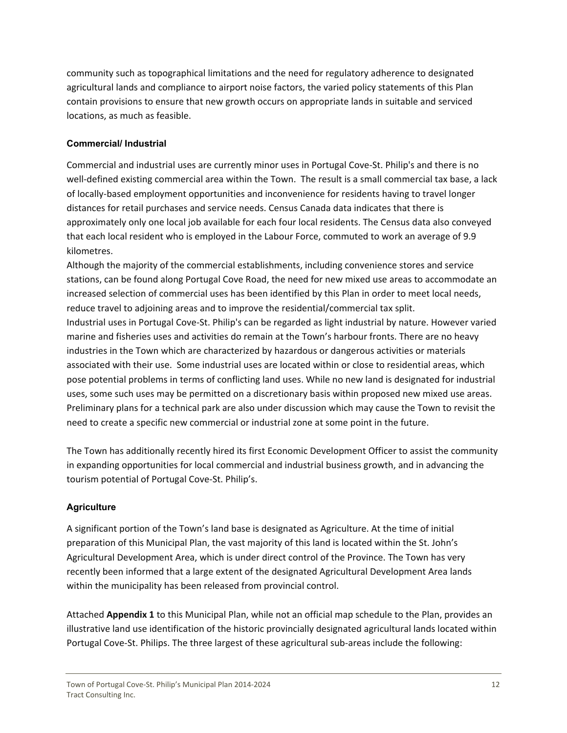community such as topographical limitations and the need for regulatory adherence to designated agricultural lands and compliance to airport noise factors, the varied policy statements of this Plan contain provisions to ensure that new growth occurs on appropriate lands in suitable and serviced locations, as much as feasible.

### **Commercial/ Industrial**

Commercial and industrial uses are currently minor uses in Portugal Cove‐St. Philip's and there is no well-defined existing commercial area within the Town. The result is a small commercial tax base, a lack of locally‐based employment opportunities and inconvenience for residents having to travel longer distances for retail purchases and service needs. Census Canada data indicates that there is approximately only one local job available for each four local residents. The Census data also conveyed that each local resident who is employed in the Labour Force, commuted to work an average of 9.9 kilometres.

Although the majority of the commercial establishments, including convenience stores and service stations, can be found along Portugal Cove Road, the need for new mixed use areas to accommodate an increased selection of commercial uses has been identified by this Plan in order to meet local needs, reduce travel to adjoining areas and to improve the residential/commercial tax split. Industrial uses in Portugal Cove‐St. Philip's can be regarded as light industrial by nature. However varied marine and fisheries uses and activities do remain at the Town's harbour fronts. There are no heavy industries in the Town which are characterized by hazardous or dangerous activities or materials associated with their use. Some industrial uses are located within or close to residential areas, which pose potential problems in terms of conflicting land uses. While no new land is designated for industrial uses, some such uses may be permitted on a discretionary basis within proposed new mixed use areas. Preliminary plans for a technical park are also under discussion which may cause the Town to revisit the need to create a specific new commercial or industrial zone at some point in the future.

The Town has additionally recently hired its first Economic Development Officer to assist the community in expanding opportunities for local commercial and industrial business growth, and in advancing the tourism potential of Portugal Cove‐St. Philip's.

# **Agriculture**

A significant portion of the Town's land base is designated as Agriculture. At the time of initial preparation of this Municipal Plan, the vast majority of this land is located within the St. John's Agricultural Development Area, which is under direct control of the Province. The Town has very recently been informed that a large extent of the designated Agricultural Development Area lands within the municipality has been released from provincial control.

Attached **Appendix 1** to this Municipal Plan, while not an official map schedule to the Plan, provides an illustrative land use identification of the historic provincially designated agricultural lands located within Portugal Cove‐St. Philips. The three largest of these agricultural sub‐areas include the following: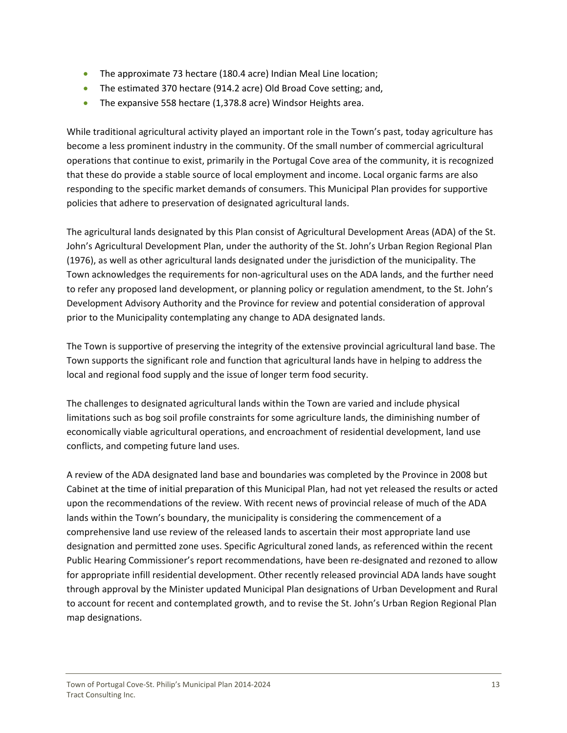- The approximate 73 hectare (180.4 acre) Indian Meal Line location;
- The estimated 370 hectare (914.2 acre) Old Broad Cove setting; and,
- The expansive 558 hectare (1,378.8 acre) Windsor Heights area.

While traditional agricultural activity played an important role in the Town's past, today agriculture has become a less prominent industry in the community. Of the small number of commercial agricultural operations that continue to exist, primarily in the Portugal Cove area of the community, it is recognized that these do provide a stable source of local employment and income. Local organic farms are also responding to the specific market demands of consumers. This Municipal Plan provides for supportive policies that adhere to preservation of designated agricultural lands.

The agricultural lands designated by this Plan consist of Agricultural Development Areas (ADA) of the St. John's Agricultural Development Plan, under the authority of the St. John's Urban Region Regional Plan (1976), as well as other agricultural lands designated under the jurisdiction of the municipality. The Town acknowledges the requirements for non-agricultural uses on the ADA lands, and the further need to refer any proposed land development, or planning policy or regulation amendment, to the St. John's Development Advisory Authority and the Province for review and potential consideration of approval prior to the Municipality contemplating any change to ADA designated lands.

The Town is supportive of preserving the integrity of the extensive provincial agricultural land base. The Town supports the significant role and function that agricultural lands have in helping to address the local and regional food supply and the issue of longer term food security.

The challenges to designated agricultural lands within the Town are varied and include physical limitations such as bog soil profile constraints for some agriculture lands, the diminishing number of economically viable agricultural operations, and encroachment of residential development, land use conflicts, and competing future land uses.

A review of the ADA designated land base and boundaries was completed by the Province in 2008 but Cabinet at the time of initial preparation of this Municipal Plan, had not yet released the results or acted upon the recommendations of the review. With recent news of provincial release of much of the ADA lands within the Town's boundary, the municipality is considering the commencement of a comprehensive land use review of the released lands to ascertain their most appropriate land use designation and permitted zone uses. Specific Agricultural zoned lands, as referenced within the recent Public Hearing Commissioner's report recommendations, have been re‐designated and rezoned to allow for appropriate infill residential development. Other recently released provincial ADA lands have sought through approval by the Minister updated Municipal Plan designations of Urban Development and Rural to account for recent and contemplated growth, and to revise the St. John's Urban Region Regional Plan map designations.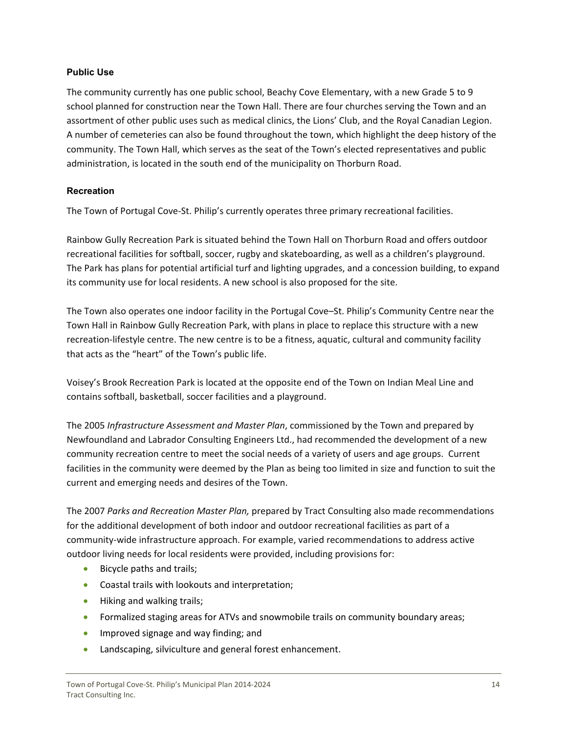#### **Public Use**

The community currently has one public school, Beachy Cove Elementary, with a new Grade 5 to 9 school planned for construction near the Town Hall. There are four churches serving the Town and an assortment of other public uses such as medical clinics, the Lions' Club, and the Royal Canadian Legion. A number of cemeteries can also be found throughout the town, which highlight the deep history of the community. The Town Hall, which serves as the seat of the Town's elected representatives and public administration, is located in the south end of the municipality on Thorburn Road.

#### **Recreation**

The Town of Portugal Cove‐St. Philip's currently operates three primary recreational facilities.

Rainbow Gully Recreation Park is situated behind the Town Hall on Thorburn Road and offers outdoor recreational facilities for softball, soccer, rugby and skateboarding, as well as a children's playground. The Park has plans for potential artificial turf and lighting upgrades, and a concession building, to expand its community use for local residents. A new school is also proposed for the site.

The Town also operates one indoor facility in the Portugal Cove–St. Philip's Community Centre near the Town Hall in Rainbow Gully Recreation Park, with plans in place to replace this structure with a new recreation‐lifestyle centre. The new centre is to be a fitness, aquatic, cultural and community facility that acts as the "heart" of the Town's public life.

Voisey's Brook Recreation Park is located at the opposite end of the Town on Indian Meal Line and contains softball, basketball, soccer facilities and a playground.

The 2005 *Infrastructure Assessment and Master Plan*, commissioned by the Town and prepared by Newfoundland and Labrador Consulting Engineers Ltd., had recommended the development of a new community recreation centre to meet the social needs of a variety of users and age groups. Current facilities in the community were deemed by the Plan as being too limited in size and function to suit the current and emerging needs and desires of the Town.

The 2007 *Parks and Recreation Master Plan,* prepared by Tract Consulting also made recommendations for the additional development of both indoor and outdoor recreational facilities as part of a community-wide infrastructure approach. For example, varied recommendations to address active outdoor living needs for local residents were provided, including provisions for:

- **Bicycle paths and trails;**
- Coastal trails with lookouts and interpretation;
- Hiking and walking trails;
- Formalized staging areas for ATVs and snowmobile trails on community boundary areas;
- **IMPROVED SIGNAGE AND WAY finding; and**
- Landscaping, silviculture and general forest enhancement.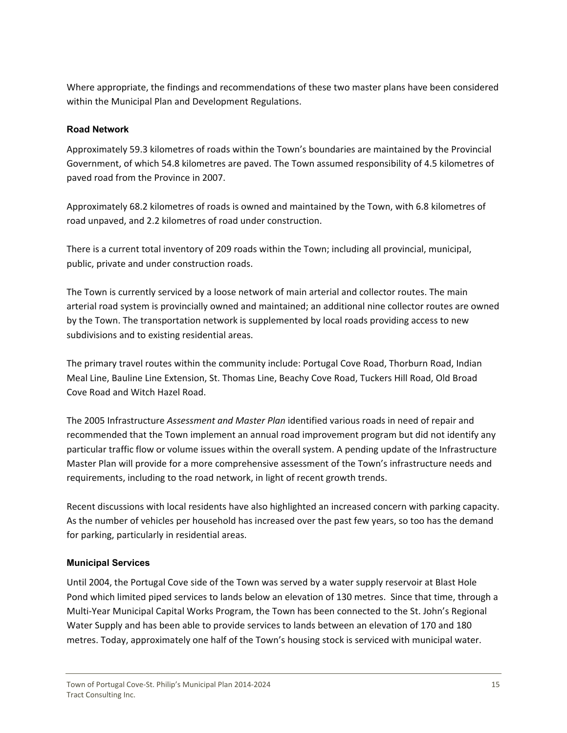Where appropriate, the findings and recommendations of these two master plans have been considered within the Municipal Plan and Development Regulations.

#### **Road Network**

Approximately 59.3 kilometres of roads within the Town's boundaries are maintained by the Provincial Government, of which 54.8 kilometres are paved. The Town assumed responsibility of 4.5 kilometres of paved road from the Province in 2007.

Approximately 68.2 kilometres of roads is owned and maintained by the Town, with 6.8 kilometres of road unpaved, and 2.2 kilometres of road under construction.

There is a current total inventory of 209 roads within the Town; including all provincial, municipal, public, private and under construction roads.

The Town is currently serviced by a loose network of main arterial and collector routes. The main arterial road system is provincially owned and maintained; an additional nine collector routes are owned by the Town. The transportation network is supplemented by local roads providing access to new subdivisions and to existing residential areas.

The primary travel routes within the community include: Portugal Cove Road, Thorburn Road, Indian Meal Line, Bauline Line Extension, St. Thomas Line, Beachy Cove Road, Tuckers Hill Road, Old Broad Cove Road and Witch Hazel Road.

The 2005 Infrastructure *Assessment and Master Plan* identified various roads in need of repair and recommended that the Town implement an annual road improvement program but did not identify any particular traffic flow or volume issues within the overall system. A pending update of the Infrastructure Master Plan will provide for a more comprehensive assessment of the Town's infrastructure needs and requirements, including to the road network, in light of recent growth trends.

Recent discussions with local residents have also highlighted an increased concern with parking capacity. As the number of vehicles per household has increased over the past few years, so too has the demand for parking, particularly in residential areas.

#### **Municipal Services**

Until 2004, the Portugal Cove side of the Town was served by a water supply reservoir at Blast Hole Pond which limited piped services to lands below an elevation of 130 metres. Since that time, through a Multi‐Year Municipal Capital Works Program, the Town has been connected to the St. John's Regional Water Supply and has been able to provide services to lands between an elevation of 170 and 180 metres. Today, approximately one half of the Town's housing stock is serviced with municipal water.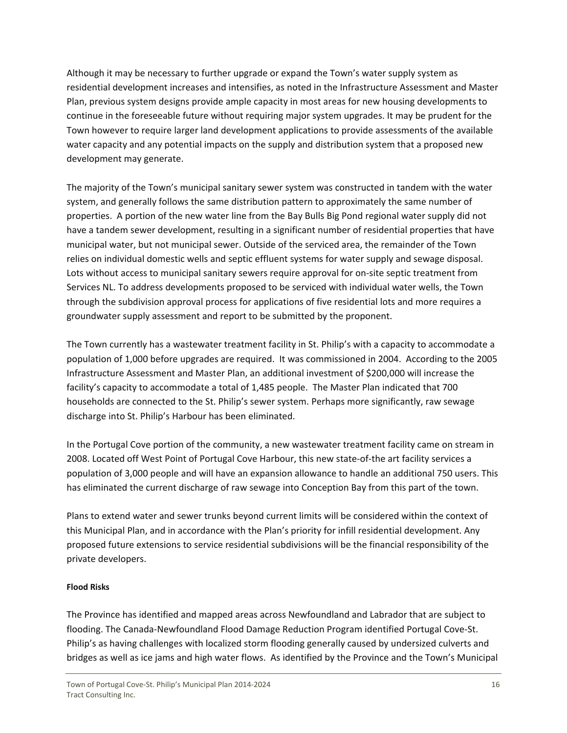Although it may be necessary to further upgrade or expand the Town's water supply system as residential development increases and intensifies, as noted in the Infrastructure Assessment and Master Plan, previous system designs provide ample capacity in most areas for new housing developments to continue in the foreseeable future without requiring major system upgrades. It may be prudent for the Town however to require larger land development applications to provide assessments of the available water capacity and any potential impacts on the supply and distribution system that a proposed new development may generate.

The majority of the Town's municipal sanitary sewer system was constructed in tandem with the water system, and generally follows the same distribution pattern to approximately the same number of properties. A portion of the new water line from the Bay Bulls Big Pond regional water supply did not have a tandem sewer development, resulting in a significant number of residential properties that have municipal water, but not municipal sewer. Outside of the serviced area, the remainder of the Town relies on individual domestic wells and septic effluent systems for water supply and sewage disposal. Lots without access to municipal sanitary sewers require approval for on-site septic treatment from Services NL. To address developments proposed to be serviced with individual water wells, the Town through the subdivision approval process for applications of five residential lots and more requires a groundwater supply assessment and report to be submitted by the proponent.

The Town currently has a wastewater treatment facility in St. Philip's with a capacity to accommodate a population of 1,000 before upgrades are required. It was commissioned in 2004. According to the 2005 Infrastructure Assessment and Master Plan, an additional investment of \$200,000 will increase the facility's capacity to accommodate a total of 1,485 people. The Master Plan indicated that 700 households are connected to the St. Philip's sewer system. Perhaps more significantly, raw sewage discharge into St. Philip's Harbour has been eliminated.

In the Portugal Cove portion of the community, a new wastewater treatment facility came on stream in 2008. Located off West Point of Portugal Cove Harbour, this new state-of-the art facility services a population of 3,000 people and will have an expansion allowance to handle an additional 750 users. This has eliminated the current discharge of raw sewage into Conception Bay from this part of the town.

Plans to extend water and sewer trunks beyond current limits will be considered within the context of this Municipal Plan, and in accordance with the Plan's priority for infill residential development. Any proposed future extensions to service residential subdivisions will be the financial responsibility of the private developers.

#### **Flood Risks**

The Province has identified and mapped areas across Newfoundland and Labrador that are subject to flooding. The Canada‐Newfoundland Flood Damage Reduction Program identified Portugal Cove‐St. Philip's as having challenges with localized storm flooding generally caused by undersized culverts and bridges as well as ice jams and high water flows. As identified by the Province and the Town's Municipal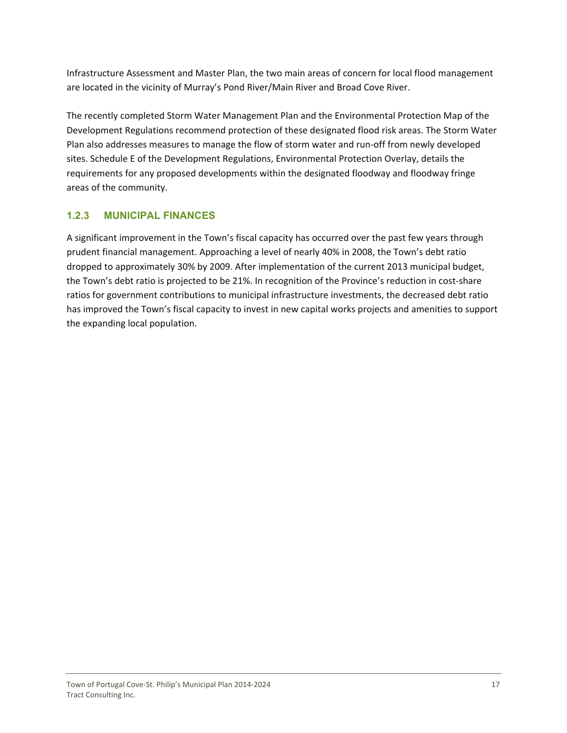<span id="page-17-0"></span>Infrastructure Assessment and Master Plan, the two main areas of concern for local flood management are located in the vicinity of Murray's Pond River/Main River and Broad Cove River.

The recently completed Storm Water Management Plan and the Environmental Protection Map of the Development Regulations recommend protection of these designated flood risk areas. The Storm Water Plan also addresses measures to manage the flow of storm water and run‐off from newly developed sites. Schedule E of the Development Regulations, Environmental Protection Overlay, details the requirements for any proposed developments within the designated floodway and floodway fringe areas of the community.

# **1.2.3 MUNICIPAL FINANCES**

A significant improvement in the Town's fiscal capacity has occurred over the past few years through prudent financial management. Approaching a level of nearly 40% in 2008, the Town's debt ratio dropped to approximately 30% by 2009. After implementation of the current 2013 municipal budget, the Town's debt ratio is projected to be 21%. In recognition of the Province's reduction in cost-share ratios for government contributions to municipal infrastructure investments, the decreased debt ratio has improved the Town's fiscal capacity to invest in new capital works projects and amenities to support the expanding local population.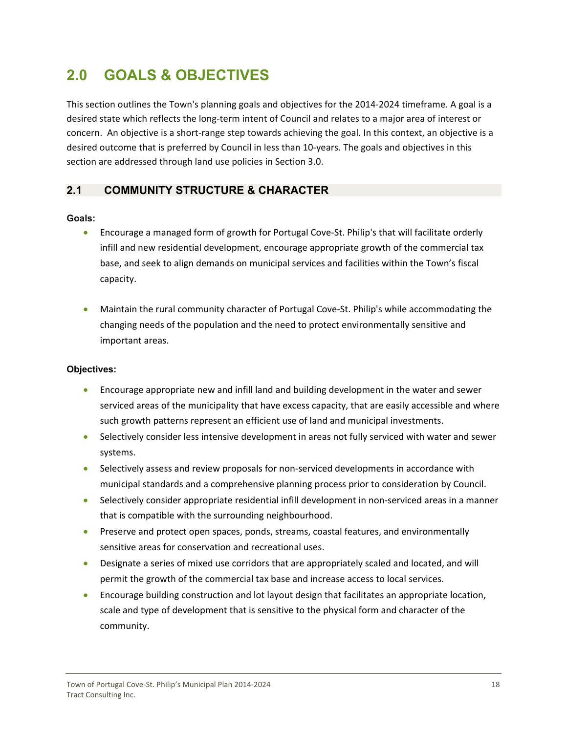# <span id="page-18-0"></span>**2.0 GOALS & OBJECTIVES**

This section outlines the Town's planning goals and objectives for the 2014‐2024 timeframe. A goal is a desired state which reflects the long‐term intent of Council and relates to a major area of interest or concern. An objective is a short-range step towards achieving the goal. In this context, an objective is a desired outcome that is preferred by Council in less than 10-years. The goals and objectives in this section are addressed through land use policies in Section 3.0.

# **2.1 COMMUNITY STRUCTURE & CHARACTER**

#### **Goals:**

- Encourage a managed form of growth for Portugal Cove-St. Philip's that will facilitate orderly infill and new residential development, encourage appropriate growth of the commercial tax base, and seek to align demands on municipal services and facilities within the Town's fiscal capacity.
- Maintain the rural community character of Portugal Cove‐St. Philip's while accommodating the changing needs of the population and the need to protect environmentally sensitive and important areas.

### **Objectives:**

- Encourage appropriate new and infill land and building development in the water and sewer serviced areas of the municipality that have excess capacity, that are easily accessible and where such growth patterns represent an efficient use of land and municipal investments.
- Selectively consider less intensive development in areas not fully serviced with water and sewer systems.
- Selectively assess and review proposals for non-serviced developments in accordance with municipal standards and a comprehensive planning process prior to consideration by Council.
- Selectively consider appropriate residential infill development in non-serviced areas in a manner that is compatible with the surrounding neighbourhood.
- **Preserve and protect open spaces, ponds, streams, coastal features, and environmentally** sensitive areas for conservation and recreational uses.
- Designate a series of mixed use corridors that are appropriately scaled and located, and will permit the growth of the commercial tax base and increase access to local services.
- Encourage building construction and lot layout design that facilitates an appropriate location, scale and type of development that is sensitive to the physical form and character of the community.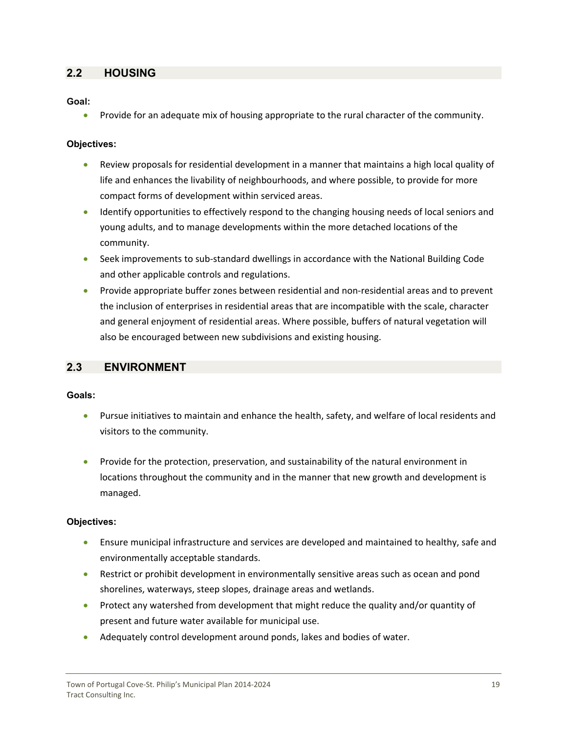# <span id="page-19-0"></span>**2.2 HOUSING**

**Goal:**

**•** Provide for an adequate mix of housing appropriate to the rural character of the community.

#### **Objectives:**

- Review proposals for residential development in a manner that maintains a high local quality of life and enhances the livability of neighbourhoods, and where possible, to provide for more compact forms of development within serviced areas.
- Identify opportunities to effectively respond to the changing housing needs of local seniors and young adults, and to manage developments within the more detached locations of the community.
- Seek improvements to sub-standard dwellings in accordance with the National Building Code and other applicable controls and regulations.
- Provide appropriate buffer zones between residential and non‐residential areas and to prevent the inclusion of enterprises in residential areas that are incompatible with the scale, character and general enjoyment of residential areas. Where possible, buffers of natural vegetation will also be encouraged between new subdivisions and existing housing.

# **2.3 ENVIRONMENT**

#### **Goals:**

- Pursue initiatives to maintain and enhance the health, safety, and welfare of local residents and visitors to the community.
- Provide for the protection, preservation, and sustainability of the natural environment in locations throughout the community and in the manner that new growth and development is managed.

#### **Objectives:**

- Ensure municipal infrastructure and services are developed and maintained to healthy, safe and environmentally acceptable standards.
- Restrict or prohibit development in environmentally sensitive areas such as ocean and pond shorelines, waterways, steep slopes, drainage areas and wetlands.
- **•** Protect any watershed from development that might reduce the quality and/or quantity of present and future water available for municipal use.
- Adequately control development around ponds, lakes and bodies of water.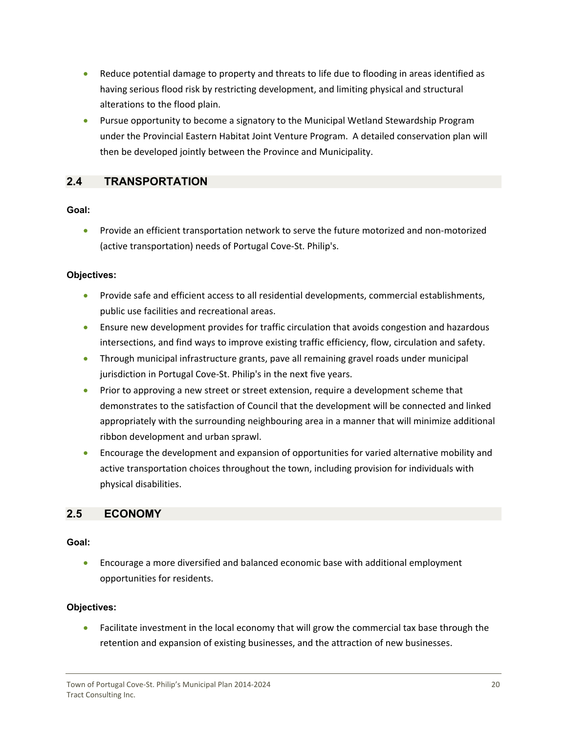- <span id="page-20-0"></span> Reduce potential damage to property and threats to life due to flooding in areas identified as having serious flood risk by restricting development, and limiting physical and structural alterations to the flood plain.
- Pursue opportunity to become a signatory to the Municipal Wetland Stewardship Program under the Provincial Eastern Habitat Joint Venture Program. A detailed conservation plan will then be developed jointly between the Province and Municipality.

# **2.4 TRANSPORTATION**

#### **Goal:**

● Provide an efficient transportation network to serve the future motorized and non-motorized (active transportation) needs of Portugal Cove‐St. Philip's.

#### **Objectives:**

- Provide safe and efficient access to all residential developments, commercial establishments, public use facilities and recreational areas.
- Ensure new development provides for traffic circulation that avoids congestion and hazardous intersections, and find ways to improve existing traffic efficiency, flow, circulation and safety.
- Through municipal infrastructure grants, pave all remaining gravel roads under municipal jurisdiction in Portugal Cove-St. Philip's in the next five years.
- **•** Prior to approving a new street or street extension, require a development scheme that demonstrates to the satisfaction of Council that the development will be connected and linked appropriately with the surrounding neighbouring area in a manner that will minimize additional ribbon development and urban sprawl.
- Encourage the development and expansion of opportunities for varied alternative mobility and active transportation choices throughout the town, including provision for individuals with physical disabilities.

# **2.5 ECONOMY**

#### **Goal:**

 Encourage a more diversified and balanced economic base with additional employment opportunities for residents.

#### **Objectives:**

• Facilitate investment in the local economy that will grow the commercial tax base through the retention and expansion of existing businesses, and the attraction of new businesses.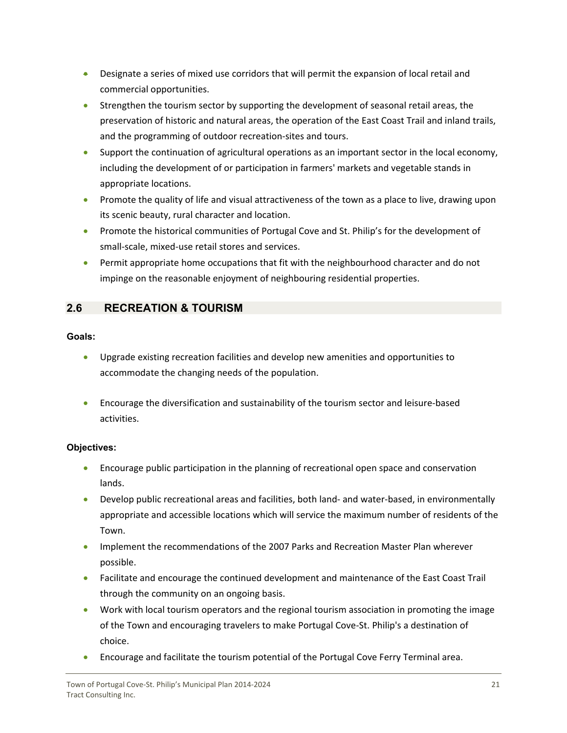- <span id="page-21-0"></span>**•** Designate a series of mixed use corridors that will permit the expansion of local retail and commercial opportunities.
- Strengthen the tourism sector by supporting the development of seasonal retail areas, the preservation of historic and natural areas, the operation of the East Coast Trail and inland trails, and the programming of outdoor recreation‐sites and tours.
- Support the continuation of agricultural operations as an important sector in the local economy, including the development of or participation in farmers' markets and vegetable stands in appropriate locations.
- Promote the quality of life and visual attractiveness of the town as a place to live, drawing upon its scenic beauty, rural character and location.
- **•** Promote the historical communities of Portugal Cove and St. Philip's for the development of small‐scale, mixed‐use retail stores and services.
- **Permit appropriate home occupations that fit with the neighbourhood character and do not** impinge on the reasonable enjoyment of neighbouring residential properties.

# **2.6 RECREATION & TOURISM**

#### **Goals:**

- Upgrade existing recreation facilities and develop new amenities and opportunities to accommodate the changing needs of the population.
- Encourage the diversification and sustainability of the tourism sector and leisure-based activities.

# **Objectives:**

- Encourage public participation in the planning of recreational open space and conservation lands.
- Develop public recreational areas and facilities, both land- and water-based, in environmentally appropriate and accessible locations which will service the maximum number of residents of the Town.
- **IMPLEMENT THE RECOMMENDATIONS** of the 2007 Parks and Recreation Master Plan wherever possible.
- Facilitate and encourage the continued development and maintenance of the East Coast Trail through the community on an ongoing basis.
- Work with local tourism operators and the regional tourism association in promoting the image of the Town and encouraging travelers to make Portugal Cove‐St. Philip's a destination of choice.
- Encourage and facilitate the tourism potential of the Portugal Cove Ferry Terminal area.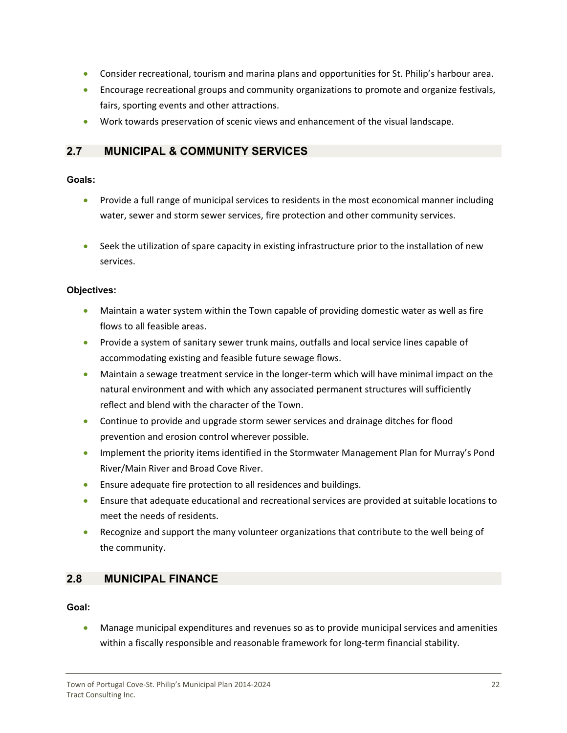- <span id="page-22-0"></span>Consider recreational, tourism and marina plans and opportunities for St. Philip's harbour area.
- Encourage recreational groups and community organizations to promote and organize festivals, fairs, sporting events and other attractions.
- Work towards preservation of scenic views and enhancement of the visual landscape.

# **2.7 MUNICIPAL & COMMUNITY SERVICES**

#### **Goals:**

- Provide a full range of municipal services to residents in the most economical manner including water, sewer and storm sewer services, fire protection and other community services.
- Seek the utilization of spare capacity in existing infrastructure prior to the installation of new services.

#### **Objectives:**

- Maintain a water system within the Town capable of providing domestic water as well as fire flows to all feasible areas.
- Provide a system of sanitary sewer trunk mains, outfalls and local service lines capable of accommodating existing and feasible future sewage flows.
- Maintain a sewage treatment service in the longer-term which will have minimal impact on the natural environment and with which any associated permanent structures will sufficiently reflect and blend with the character of the Town.
- Continue to provide and upgrade storm sewer services and drainage ditches for flood prevention and erosion control wherever possible.
- **IMPLEM** Implement the priority items identified in the Stormwater Management Plan for Murray's Pond River/Main River and Broad Cove River.
- Ensure adequate fire protection to all residences and buildings.
- Ensure that adequate educational and recreational services are provided at suitable locations to meet the needs of residents.
- Recognize and support the many volunteer organizations that contribute to the well being of the community.

# **2.8 MUNICIPAL FINANCE**

#### **Goal:**

 Manage municipal expenditures and revenues so as to provide municipal services and amenities within a fiscally responsible and reasonable framework for long-term financial stability.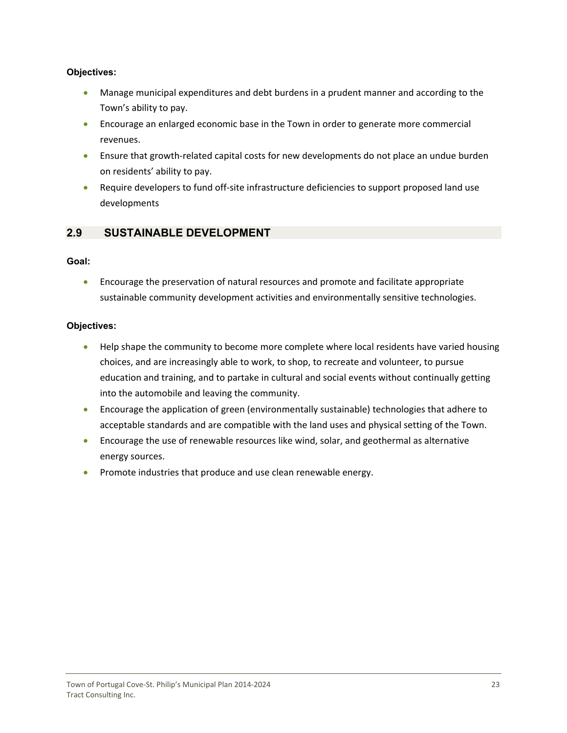#### <span id="page-23-0"></span>**Objectives:**

- Manage municipal expenditures and debt burdens in a prudent manner and according to the Town's ability to pay.
- Encourage an enlarged economic base in the Town in order to generate more commercial revenues.
- Ensure that growth-related capital costs for new developments do not place an undue burden on residents' ability to pay.
- Require developers to fund off-site infrastructure deficiencies to support proposed land use developments

# **2.9 SUSTAINABLE DEVELOPMENT**

#### **Goal:**

 Encourage the preservation of natural resources and promote and facilitate appropriate sustainable community development activities and environmentally sensitive technologies.

#### **Objectives:**

- Help shape the community to become more complete where local residents have varied housing choices, and are increasingly able to work, to shop, to recreate and volunteer, to pursue education and training, and to partake in cultural and social events without continually getting into the automobile and leaving the community.
- Encourage the application of green (environmentally sustainable) technologies that adhere to acceptable standards and are compatible with the land uses and physical setting of the Town.
- Encourage the use of renewable resources like wind, solar, and geothermal as alternative energy sources.
- Promote industries that produce and use clean renewable energy.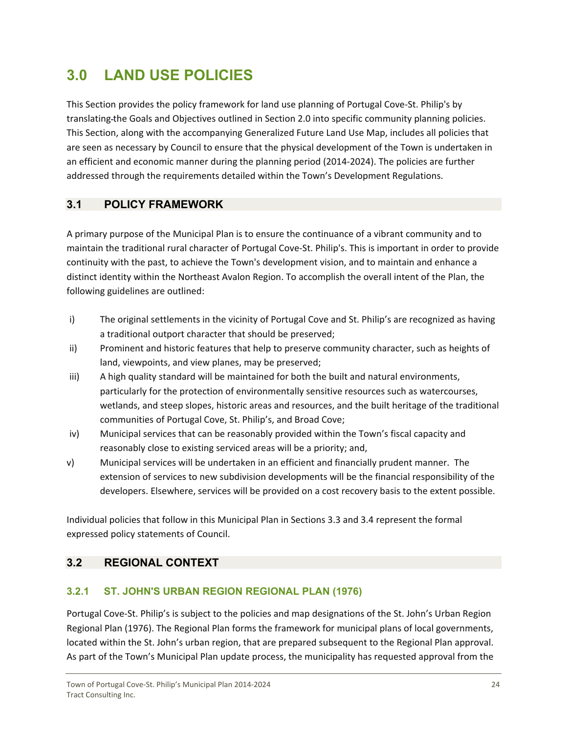# <span id="page-24-0"></span>**3.0 LAND USE POLICIES**

This Section provides the policy framework for land use planning of Portugal Cove‐St. Philip's by translating the Goals and Objectives outlined in Section 2.0 into specific community planning policies. This Section, along with the accompanying Generalized Future Land Use Map, includes all policies that are seen as necessary by Council to ensure that the physical development of the Town is undertaken in an efficient and economic manner during the planning period (2014‐2024). The policies are further addressed through the requirements detailed within the Town's Development Regulations.

# **3.1 POLICY FRAMEWORK**

A primary purpose of the Municipal Plan is to ensure the continuance of a vibrant community and to maintain the traditional rural character of Portugal Cove‐St. Philip's. This is important in order to provide continuity with the past, to achieve the Town's development vision, and to maintain and enhance a distinct identity within the Northeast Avalon Region. To accomplish the overall intent of the Plan, the following guidelines are outlined:

- i) The original settlements in the vicinity of Portugal Cove and St. Philip's are recognized as having a traditional outport character that should be preserved;
- ii) Prominent and historic features that help to preserve community character, such as heights of land, viewpoints, and view planes, may be preserved;
- iii) A high quality standard will be maintained for both the built and natural environments, particularly for the protection of environmentally sensitive resources such as watercourses, wetlands, and steep slopes, historic areas and resources, and the built heritage of the traditional communities of Portugal Cove, St. Philip's, and Broad Cove;
- iv) Municipal services that can be reasonably provided within the Town's fiscal capacity and reasonably close to existing serviced areas will be a priority; and,
- v) Municipal services will be undertaken in an efficient and financially prudent manner. The extension of services to new subdivision developments will be the financial responsibility of the developers. Elsewhere, services will be provided on a cost recovery basis to the extent possible.

Individual policies that follow in this Municipal Plan in Sections 3.3 and 3.4 represent the formal expressed policy statements of Council.

# **3.2 REGIONAL CONTEXT**

# **3.2.1 ST. JOHN'S URBAN REGION REGIONAL PLAN (1976)**

Portugal Cove‐St. Philip's is subject to the policies and map designations of the St. John's Urban Region Regional Plan (1976). The Regional Plan forms the framework for municipal plans of local governments, located within the St. John's urban region, that are prepared subsequent to the Regional Plan approval. As part of the Town's Municipal Plan update process, the municipality has requested approval from the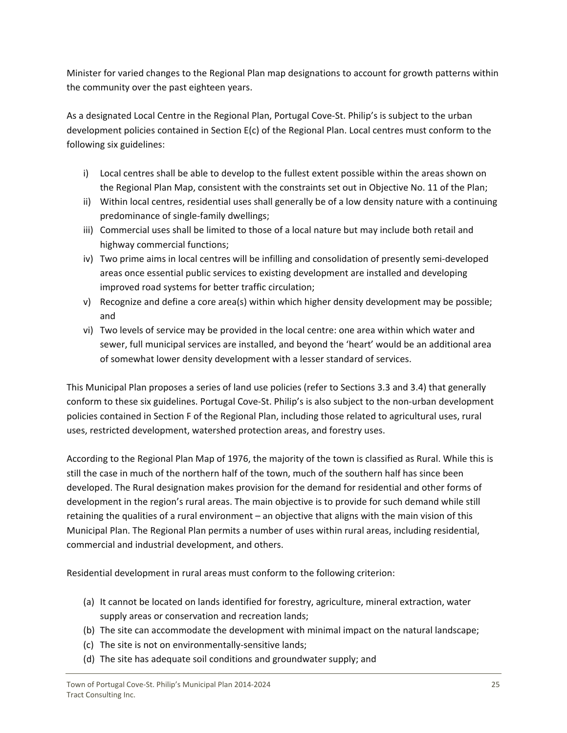Minister for varied changes to the Regional Plan map designations to account for growth patterns within the community over the past eighteen years.

As a designated Local Centre in the Regional Plan, Portugal Cove‐St. Philip's is subject to the urban development policies contained in Section E(c) of the Regional Plan. Local centres must conform to the following six guidelines:

- i) Local centres shall be able to develop to the fullest extent possible within the areas shown on the Regional Plan Map, consistent with the constraints set out in Objective No. 11 of the Plan;
- ii) Within local centres, residential uses shall generally be of a low density nature with a continuing predominance of single‐family dwellings;
- iii) Commercial uses shall be limited to those of a local nature but may include both retail and highway commercial functions;
- iv) Two prime aims in local centres will be infilling and consolidation of presently semi-developed areas once essential public services to existing development are installed and developing improved road systems for better traffic circulation;
- v) Recognize and define a core area(s) within which higher density development may be possible; and
- vi) Two levels of service may be provided in the local centre: one area within which water and sewer, full municipal services are installed, and beyond the 'heart' would be an additional area of somewhat lower density development with a lesser standard of services.

This Municipal Plan proposes a series of land use policies (refer to Sections 3.3 and 3.4) that generally conform to these six guidelines. Portugal Cove-St. Philip's is also subject to the non-urban development policies contained in Section F of the Regional Plan, including those related to agricultural uses, rural uses, restricted development, watershed protection areas, and forestry uses.

According to the Regional Plan Map of 1976, the majority of the town is classified as Rural. While this is still the case in much of the northern half of the town, much of the southern half has since been developed. The Rural designation makes provision for the demand for residential and other forms of development in the region's rural areas. The main objective is to provide for such demand while still retaining the qualities of a rural environment – an objective that aligns with the main vision of this Municipal Plan. The Regional Plan permits a number of uses within rural areas, including residential, commercial and industrial development, and others.

Residential development in rural areas must conform to the following criterion:

- (a) It cannot be located on lands identified for forestry, agriculture, mineral extraction, water supply areas or conservation and recreation lands;
- (b) The site can accommodate the development with minimal impact on the natural landscape;
- (c) The site is not on environmentally‐sensitive lands;
- (d) The site has adequate soil conditions and groundwater supply; and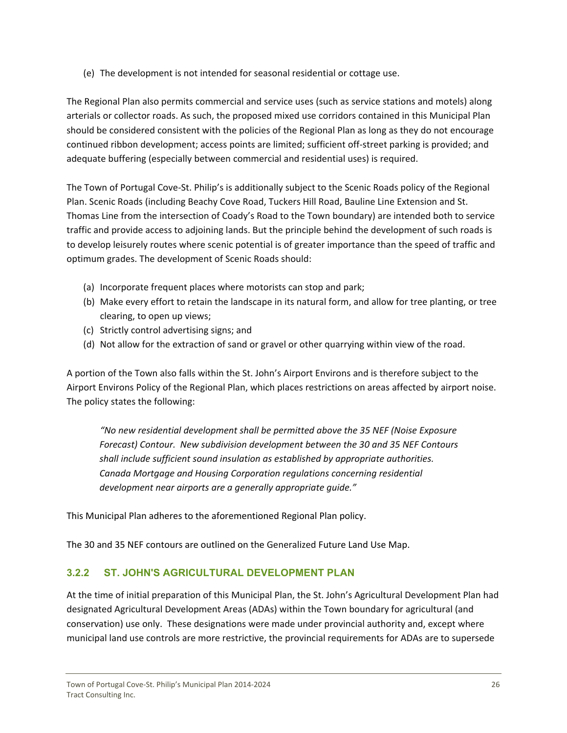<span id="page-26-0"></span>(e) The development is not intended for seasonal residential or cottage use.

The Regional Plan also permits commercial and service uses (such as service stations and motels) along arterials or collector roads. As such, the proposed mixed use corridors contained in this Municipal Plan should be considered consistent with the policies of the Regional Plan as long as they do not encourage continued ribbon development; access points are limited; sufficient off‐street parking is provided; and adequate buffering (especially between commercial and residential uses) is required.

The Town of Portugal Cove-St. Philip's is additionally subject to the Scenic Roads policy of the Regional Plan. Scenic Roads (including Beachy Cove Road, Tuckers Hill Road, Bauline Line Extension and St. Thomas Line from the intersection of Coady's Road to the Town boundary) are intended both to service traffic and provide access to adjoining lands. But the principle behind the development of such roads is to develop leisurely routes where scenic potential is of greater importance than the speed of traffic and optimum grades. The development of Scenic Roads should:

- (a) Incorporate frequent places where motorists can stop and park;
- (b) Make every effort to retain the landscape in its natural form, and allow for tree planting, or tree clearing, to open up views;
- (c) Strictly control advertising signs; and
- (d) Not allow for the extraction of sand or gravel or other quarrying within view of the road.

A portion of the Town also falls within the St. John's Airport Environs and is therefore subject to the Airport Environs Policy of the Regional Plan, which places restrictions on areas affected by airport noise. The policy states the following:

*"No new residential development shall be permitted above the 35 NEF (Noise Exposure Forecast) Contour. New subdivision development between the 30 and 35 NEF Contours shall include sufficient sound insulation as established by appropriate authorities. Canada Mortgage and Housing Corporation regulations concerning residential development near airports are a generally appropriate guide."* 

This Municipal Plan adheres to the aforementioned Regional Plan policy.

The 30 and 35 NEF contours are outlined on the Generalized Future Land Use Map.

# **3.2.2 ST. JOHN'S AGRICULTURAL DEVELOPMENT PLAN**

At the time of initial preparation of this Municipal Plan, the St. John's Agricultural Development Plan had designated Agricultural Development Areas (ADAs) within the Town boundary for agricultural (and conservation) use only. These designations were made under provincial authority and, except where municipal land use controls are more restrictive, the provincial requirements for ADAs are to supersede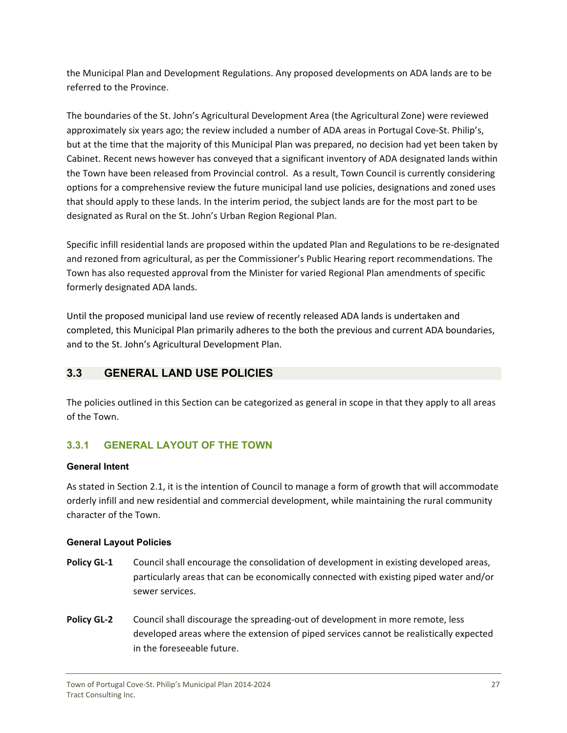<span id="page-27-0"></span>the Municipal Plan and Development Regulations. Any proposed developments on ADA lands are to be referred to the Province.

The boundaries of the St. John's Agricultural Development Area (the Agricultural Zone) were reviewed approximately six years ago; the review included a number of ADA areas in Portugal Cove‐St. Philip's, but at the time that the majority of this Municipal Plan was prepared, no decision had yet been taken by Cabinet. Recent news however has conveyed that a significant inventory of ADA designated lands within the Town have been released from Provincial control. As a result, Town Council is currently considering options for a comprehensive review the future municipal land use policies, designations and zoned uses that should apply to these lands. In the interim period, the subject lands are for the most part to be designated as Rural on the St. John's Urban Region Regional Plan.

Specific infill residential lands are proposed within the updated Plan and Regulations to be re‐designated and rezoned from agricultural, as per the Commissioner's Public Hearing report recommendations. The Town has also requested approval from the Minister for varied Regional Plan amendments of specific formerly designated ADA lands.

Until the proposed municipal land use review of recently released ADA lands is undertaken and completed, this Municipal Plan primarily adheres to the both the previous and current ADA boundaries, and to the St. John's Agricultural Development Plan.

# **3.3 GENERAL LAND USE POLICIES**

The policies outlined in this Section can be categorized as general in scope in that they apply to all areas of the Town.

# **3.3.1 GENERAL LAYOUT OF THE TOWN**

# **General Intent**

As stated in Section 2.1, it is the intention of Council to manage a form of growth that will accommodate orderly infill and new residential and commercial development, while maintaining the rural community character of the Town.

# **General Layout Policies**

- **Policy GL-1** Council shall encourage the consolidation of development in existing developed areas, particularly areas that can be economically connected with existing piped water and/or sewer services.
- **Policy GL-2** Council shall discourage the spreading-out of development in more remote, less developed areas where the extension of piped services cannot be realistically expected in the foreseeable future.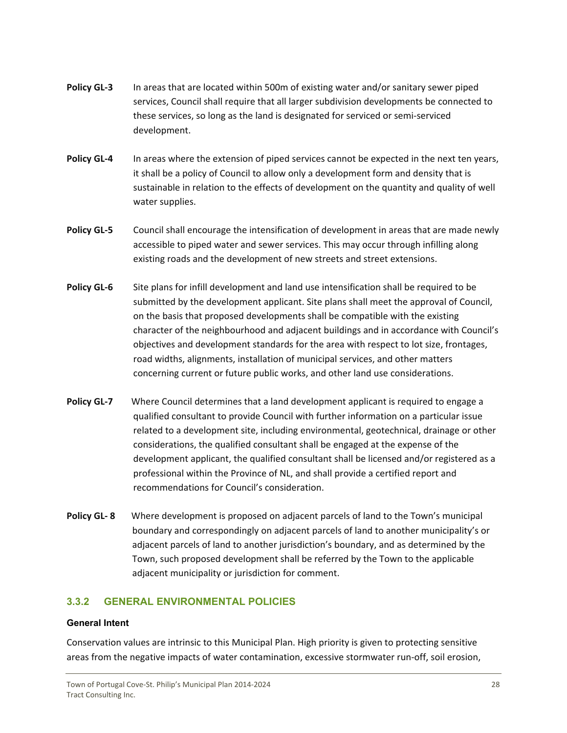- <span id="page-28-0"></span>**Policy GL‐3** In areas that are located within 500m of existing water and/or sanitary sewer piped services, Council shall require that all larger subdivision developments be connected to these services, so long as the land is designated for serviced or semi‐serviced development.
- **Policy GL‐4** In areas where the extension of piped services cannot be expected in the next ten years, it shall be a policy of Council to allow only a development form and density that is sustainable in relation to the effects of development on the quantity and quality of well water supplies.
- **Policy GL‐5** Council shall encourage the intensification of development in areas that are made newly accessible to piped water and sewer services. This may occur through infilling along existing roads and the development of new streets and street extensions.
- **Policy GL‐6** Site plans for infill development and land use intensification shall be required to be submitted by the development applicant. Site plans shall meet the approval of Council, on the basis that proposed developments shall be compatible with the existing character of the neighbourhood and adjacent buildings and in accordance with Council's objectives and development standards for the area with respect to lot size, frontages, road widths, alignments, installation of municipal services, and other matters concerning current or future public works, and other land use considerations.
- **Policy GL-7** Where Council determines that a land development applicant is required to engage a qualified consultant to provide Council with further information on a particular issue related to a development site, including environmental, geotechnical, drainage or other considerations, the qualified consultant shall be engaged at the expense of the development applicant, the qualified consultant shall be licensed and/or registered as a professional within the Province of NL, and shall provide a certified report and recommendations for Council's consideration.
- **Policy GL-8** Where development is proposed on adjacent parcels of land to the Town's municipal boundary and correspondingly on adjacent parcels of land to another municipality's or adjacent parcels of land to another jurisdiction's boundary, and as determined by the Town, such proposed development shall be referred by the Town to the applicable adjacent municipality or jurisdiction for comment.

# **3.3.2 GENERAL ENVIRONMENTAL POLICIES**

#### **General Intent**

Conservation values are intrinsic to this Municipal Plan. High priority is given to protecting sensitive areas from the negative impacts of water contamination, excessive stormwater run‐off, soil erosion,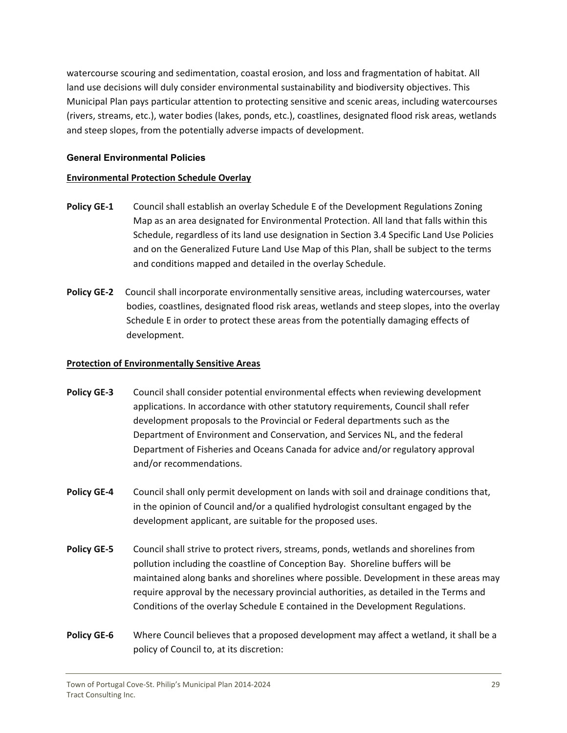watercourse scouring and sedimentation, coastal erosion, and loss and fragmentation of habitat. All land use decisions will duly consider environmental sustainability and biodiversity objectives. This Municipal Plan pays particular attention to protecting sensitive and scenic areas, including watercourses (rivers, streams, etc.), water bodies (lakes, ponds, etc.), coastlines, designated flood risk areas, wetlands and steep slopes, from the potentially adverse impacts of development.

#### **General Environmental Policies**

#### **Environmental Protection Schedule Overlay**

- **Policy GE‐1** Council shall establish an overlay Schedule E of the Development Regulations Zoning Map as an area designated for Environmental Protection. All land that falls within this Schedule, regardless of its land use designation in Section 3.4 Specific Land Use Policies and on the Generalized Future Land Use Map of this Plan, shall be subject to the terms and conditions mapped and detailed in the overlay Schedule.
- **Policy GE‐2** Council shall incorporate environmentally sensitive areas, including watercourses, water bodies, coastlines, designated flood risk areas, wetlands and steep slopes, into the overlay Schedule E in order to protect these areas from the potentially damaging effects of development.

#### **Protection of Environmentally Sensitive Areas**

- **Policy GE‐3** Council shall consider potential environmental effects when reviewing development applications. In accordance with other statutory requirements, Council shall refer development proposals to the Provincial or Federal departments such as the Department of Environment and Conservation, and Services NL, and the federal Department of Fisheries and Oceans Canada for advice and/or regulatory approval and/or recommendations.
- **Policy GE‐4** Council shall only permit development on lands with soil and drainage conditions that, in the opinion of Council and/or a qualified hydrologist consultant engaged by the development applicant, are suitable for the proposed uses.
- **Policy GE‐5** Council shall strive to protect rivers, streams, ponds, wetlands and shorelines from pollution including the coastline of Conception Bay. Shoreline buffers will be maintained along banks and shorelines where possible. Development in these areas may require approval by the necessary provincial authorities, as detailed in the Terms and Conditions of the overlay Schedule E contained in the Development Regulations.
- **Policy GE‐6** Where Council believes that a proposed development may affect a wetland, it shall be a policy of Council to, at its discretion: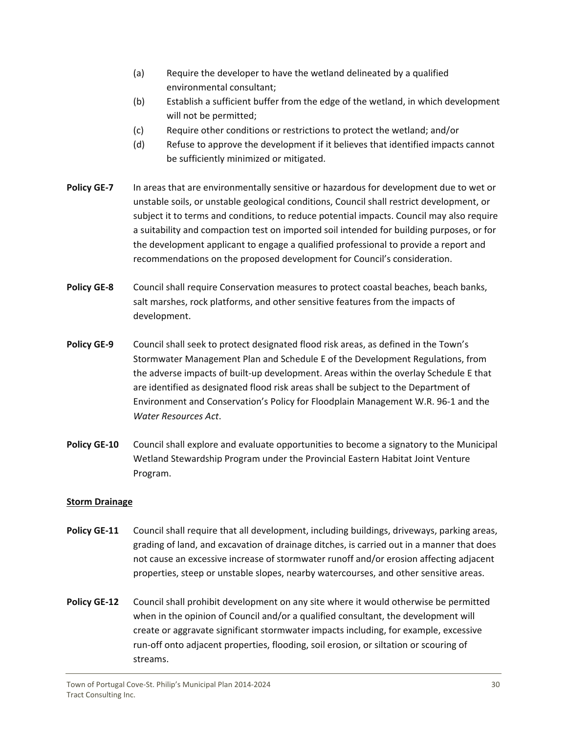- (a) Require the developer to have the wetland delineated by a qualified environmental consultant;
- (b) Establish a sufficient buffer from the edge of the wetland, in which development will not be permitted;
- (c) Require other conditions or restrictions to protect the wetland; and/or
- (d) Refuse to approve the development if it believes that identified impacts cannot be sufficiently minimized or mitigated.
- **Policy GE‐7** In areas that are environmentally sensitive or hazardous for development due to wet or unstable soils, or unstable geological conditions, Council shall restrict development, or subject it to terms and conditions, to reduce potential impacts. Council may also require a suitability and compaction test on imported soil intended for building purposes, or for the development applicant to engage a qualified professional to provide a report and recommendations on the proposed development for Council's consideration.
- **Policy GE‐8** Council shall require Conservation measures to protect coastal beaches, beach banks, salt marshes, rock platforms, and other sensitive features from the impacts of development.
- **Policy GE‐9** Council shall seek to protect designated flood risk areas, as defined in the Town's Stormwater Management Plan and Schedule E of the Development Regulations, from the adverse impacts of built‐up development. Areas within the overlay Schedule E that are identified as designated flood risk areas shall be subject to the Department of Environment and Conservation's Policy for Floodplain Management W.R. 96‐1 and the *Water Resources Act*.
- **Policy GE‐10**  Council shall explore and evaluate opportunities to become a signatory to the Municipal Wetland Stewardship Program under the Provincial Eastern Habitat Joint Venture Program.

# **Storm Drainage**

- **Policy GE-11** Council shall require that all development, including buildings, driveways, parking areas, grading of land, and excavation of drainage ditches, is carried out in a manner that does not cause an excessive increase of stormwater runoff and/or erosion affecting adjacent properties, steep or unstable slopes, nearby watercourses, and other sensitive areas.
- **Policy GE‐12** Council shall prohibit development on any site where it would otherwise be permitted when in the opinion of Council and/or a qualified consultant, the development will create or aggravate significant stormwater impacts including, for example, excessive run‐off onto adjacent properties, flooding, soil erosion, or siltation or scouring of streams.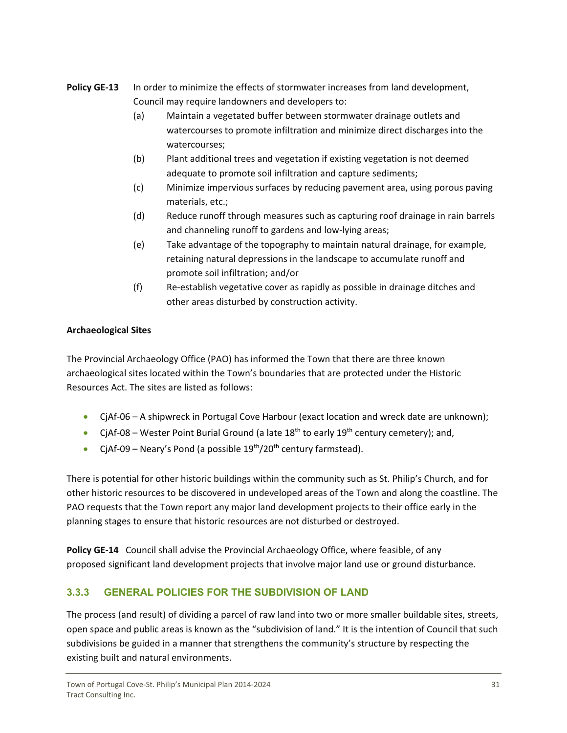- <span id="page-31-0"></span>**Policy GE‐13** In order to minimize the effects of stormwater increases from land development, Council may require landowners and developers to:
	- (a) Maintain a vegetated buffer between stormwater drainage outlets and watercourses to promote infiltration and minimize direct discharges into the watercourses;
	- (b) Plant additional trees and vegetation if existing vegetation is not deemed adequate to promote soil infiltration and capture sediments;
	- (c) Minimize impervious surfaces by reducing pavement area, using porous paving materials, etc.;
	- (d) Reduce runoff through measures such as capturing roof drainage in rain barrels and channeling runoff to gardens and low‐lying areas;
	- (e) Take advantage of the topography to maintain natural drainage, for example, retaining natural depressions in the landscape to accumulate runoff and promote soil infiltration; and/or
	- (f) Re‐establish vegetative cover as rapidly as possible in drainage ditches and other areas disturbed by construction activity.

# **Archaeological Sites**

The Provincial Archaeology Office (PAO) has informed the Town that there are three known archaeological sites located within the Town's boundaries that are protected under the Historic Resources Act. The sites are listed as follows:

- CjAf-06 A shipwreck in Portugal Cove Harbour (exact location and wreck date are unknown);
- CjAf-08 Wester Point Burial Ground (a late  $18^{th}$  to early  $19^{th}$  century cemetery); and,
- CjAf-09 Neary's Pond (a possible  $19^{th}/20^{th}$  century farmstead).

There is potential for other historic buildings within the community such as St. Philip's Church, and for other historic resources to be discovered in undeveloped areas of the Town and along the coastline. The PAO requests that the Town report any major land development projects to their office early in the planning stages to ensure that historic resources are not disturbed or destroyed.

**Policy GE‐14** Council shall advise the Provincial Archaeology Office, where feasible, of any proposed significant land development projects that involve major land use or ground disturbance.

# **3.3.3 GENERAL POLICIES FOR THE SUBDIVISION OF LAND**

The process (and result) of dividing a parcel of raw land into two or more smaller buildable sites, streets, open space and public areas is known as the "subdivision of land." It is the intention of Council that such subdivisions be guided in a manner that strengthens the community's structure by respecting the existing built and natural environments.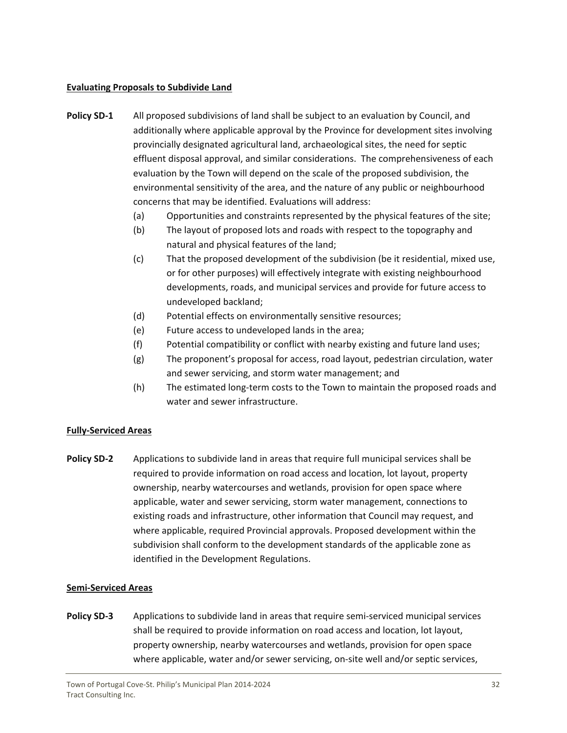#### **Evaluating Proposals to Subdivide Land**

- **Policy SD‐1** All proposed subdivisions of land shall be subject to an evaluation by Council, and additionally where applicable approval by the Province for development sites involving provincially designated agricultural land, archaeological sites, the need for septic effluent disposal approval, and similar considerations. The comprehensiveness of each evaluation by the Town will depend on the scale of the proposed subdivision, the environmental sensitivity of the area, and the nature of any public or neighbourhood concerns that may be identified. Evaluations will address:
	- (a) Opportunities and constraints represented by the physical features of the site;
	- (b) The layout of proposed lots and roads with respect to the topography and natural and physical features of the land;
	- (c) That the proposed development of the subdivision (be it residential, mixed use, or for other purposes) will effectively integrate with existing neighbourhood developments, roads, and municipal services and provide for future access to undeveloped backland;
	- (d) Potential effects on environmentally sensitive resources;
	- (e) Future access to undeveloped lands in the area;
	- (f) Potential compatibility or conflict with nearby existing and future land uses;
	- (g) The proponent's proposal for access, road layout, pedestrian circulation, water and sewer servicing, and storm water management; and
	- (h) The estimated long‐term costs to the Town to maintain the proposed roads and water and sewer infrastructure.

#### **Fully‐Serviced Areas**

**Policy SD‐2** Applications to subdivide land in areas that require full municipal services shall be required to provide information on road access and location, lot layout, property ownership, nearby watercourses and wetlands, provision for open space where applicable, water and sewer servicing, storm water management, connections to existing roads and infrastructure, other information that Council may request, and where applicable, required Provincial approvals. Proposed development within the subdivision shall conform to the development standards of the applicable zone as identified in the Development Regulations.

#### **Semi‐Serviced Areas**

**Policy SD-3** Applications to subdivide land in areas that require semi-serviced municipal services shall be required to provide information on road access and location, lot layout, property ownership, nearby watercourses and wetlands, provision for open space where applicable, water and/or sewer servicing, on-site well and/or septic services,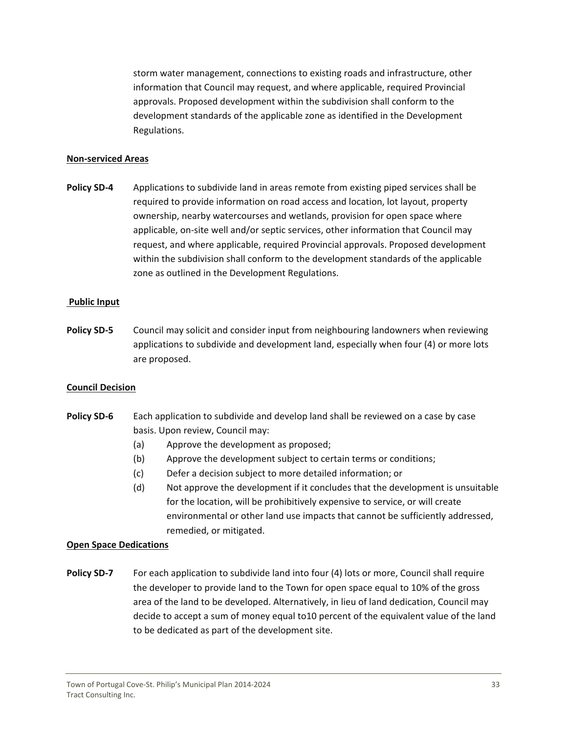storm water management, connections to existing roads and infrastructure, other information that Council may request, and where applicable, required Provincial approvals. Proposed development within the subdivision shall conform to the development standards of the applicable zone as identified in the Development Regulations.

#### **Non‐serviced Areas**

**Policy SD‐4** Applications to subdivide land in areas remote from existing piped services shall be required to provide information on road access and location, lot layout, property ownership, nearby watercourses and wetlands, provision for open space where applicable, on‐site well and/or septic services, other information that Council may request, and where applicable, required Provincial approvals. Proposed development within the subdivision shall conform to the development standards of the applicable zone as outlined in the Development Regulations.

#### **Public Input**

**Policy SD‐5** Council may solicit and consider input from neighbouring landowners when reviewing applications to subdivide and development land, especially when four (4) or more lots are proposed.

#### **Council Decision**

- **Policy SD‐6** Each application to subdivide and develop land shall be reviewed on a case by case basis. Upon review, Council may:
	- (a) Approve the development as proposed;
	- (b) Approve the development subject to certain terms or conditions;
	- (c) Defer a decision subject to more detailed information; or
	- (d) Not approve the development if it concludes that the development is unsuitable for the location, will be prohibitively expensive to service, or will create environmental or other land use impacts that cannot be sufficiently addressed, remedied, or mitigated.

#### **Open Space Dedications**

**Policy SD‐7** For each application to subdivide land into four (4) lots or more, Council shall require the developer to provide land to the Town for open space equal to 10% of the gross area of the land to be developed. Alternatively, in lieu of land dedication, Council may decide to accept a sum of money equal to10 percent of the equivalent value of the land to be dedicated as part of the development site.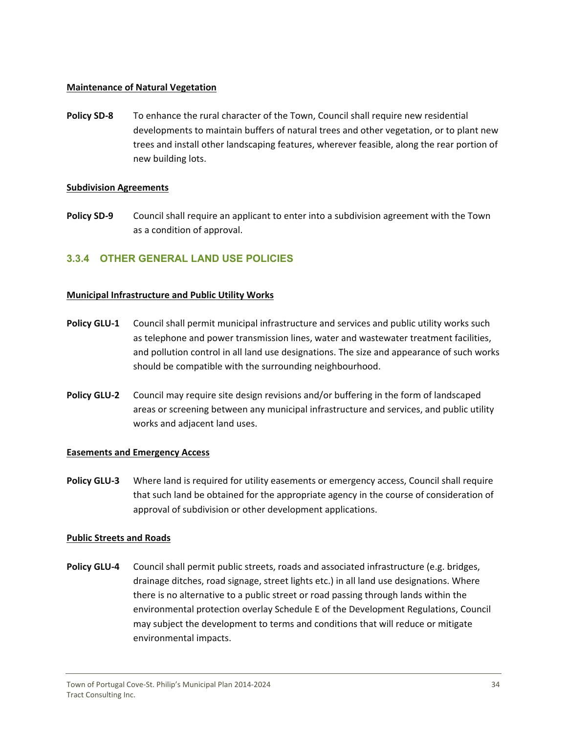#### <span id="page-34-0"></span>**Maintenance of Natural Vegetation**

**Policy SD‐8** To enhance the rural character of the Town, Council shall require new residential developments to maintain buffers of natural trees and other vegetation, or to plant new trees and install other landscaping features, wherever feasible, along the rear portion of new building lots.

#### **Subdivision Agreements**

**Policy SD‐9** Council shall require an applicant to enter into a subdivision agreement with the Town as a condition of approval.

# **3.3.4 OTHER GENERAL LAND USE POLICIES**

#### **Municipal Infrastructure and Public Utility Works**

- **Policy GLU‐1** Council shall permit municipal infrastructure and services and public utility works such as telephone and power transmission lines, water and wastewater treatment facilities, and pollution control in all land use designations. The size and appearance of such works should be compatible with the surrounding neighbourhood.
- **Policy GLU‐2** Council may require site design revisions and/or buffering in the form of landscaped areas or screening between any municipal infrastructure and services, and public utility works and adjacent land uses.

#### **Easements and Emergency Access**

**Policy GLU‐3** Where land is required for utility easements or emergency access, Council shall require that such land be obtained for the appropriate agency in the course of consideration of approval of subdivision or other development applications.

#### **Public Streets and Roads**

**Policy GLU‐4** Council shall permit public streets, roads and associated infrastructure (e.g. bridges, drainage ditches, road signage, street lights etc.) in all land use designations. Where there is no alternative to a public street or road passing through lands within the environmental protection overlay Schedule E of the Development Regulations, Council may subject the development to terms and conditions that will reduce or mitigate environmental impacts.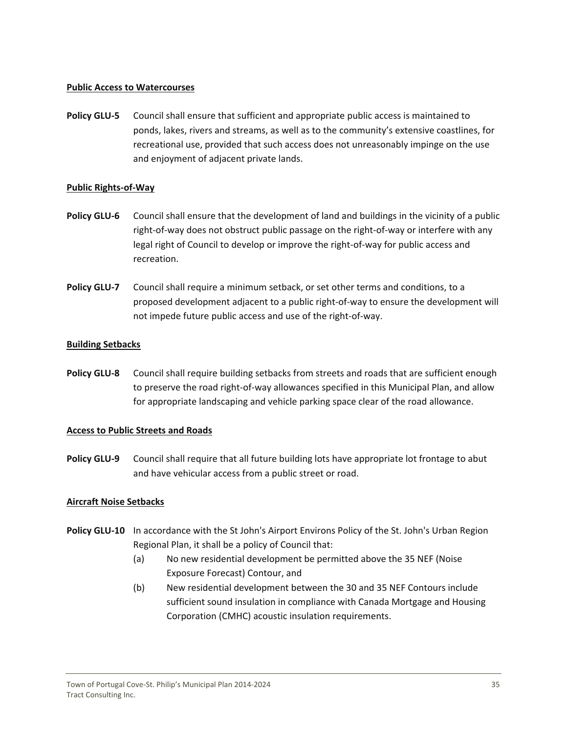#### **Public Access to Watercourses**

**Policy GLU‐5** Council shall ensure that sufficient and appropriate public access is maintained to ponds, lakes, rivers and streams, as well as to the community's extensive coastlines, for recreational use, provided that such access does not unreasonably impinge on the use and enjoyment of adjacent private lands.

#### **Public Rights‐of‐Way**

- **Policy GLU‐6** Council shall ensure that the development of land and buildings in the vicinity of a public right‐of‐way does not obstruct public passage on the right‐of‐way or interfere with any legal right of Council to develop or improve the right‐of‐way for public access and recreation.
- **Policy GLU‐7** Council shall require a minimum setback, or set other terms and conditions, to a proposed development adjacent to a public right‐of‐way to ensure the development will not impede future public access and use of the right‐of‐way.

#### **Building Setbacks**

**Policy GLU‐8** Council shall require building setbacks from streets and roads that are sufficient enough to preserve the road right‐of‐way allowances specified in this Municipal Plan, and allow for appropriate landscaping and vehicle parking space clear of the road allowance.

#### **Access to Public Streets and Roads**

**Policy GLU‐9** Council shall require that all future building lots have appropriate lot frontage to abut and have vehicular access from a public street or road.

#### **Aircraft Noise Setbacks**

- **Policy GLU‐10**  In accordance with the St John's Airport Environs Policy of the St. John's Urban Region Regional Plan, it shall be a policy of Council that:
	- (a) No new residential development be permitted above the 35 NEF (Noise Exposure Forecast) Contour, and
	- (b) New residential development between the 30 and 35 NEF Contours include sufficient sound insulation in compliance with Canada Mortgage and Housing Corporation (CMHC) acoustic insulation requirements.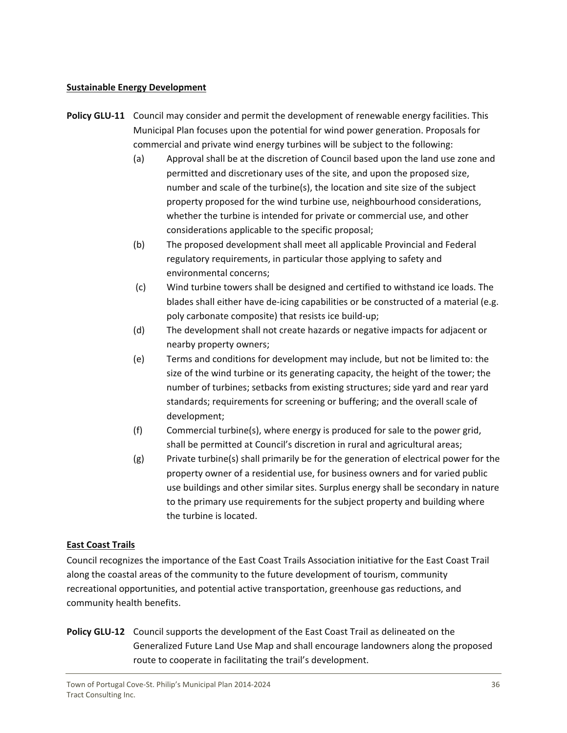#### **Sustainable Energy Development**

- **Policy GLU‐11**  Council may consider and permit the development of renewable energy facilities. This Municipal Plan focuses upon the potential for wind power generation. Proposals for commercial and private wind energy turbines will be subject to the following:
	- (a) Approval shall be at the discretion of Council based upon the land use zone and permitted and discretionary uses of the site, and upon the proposed size, number and scale of the turbine(s), the location and site size of the subject property proposed for the wind turbine use, neighbourhood considerations, whether the turbine is intended for private or commercial use, and other considerations applicable to the specific proposal;
	- (b) The proposed development shall meet all applicable Provincial and Federal regulatory requirements, in particular those applying to safety and environmental concerns;
	- (c) Wind turbine towers shall be designed and certified to withstand ice loads. The blades shall either have de-icing capabilities or be constructed of a material (e.g. poly carbonate composite) that resists ice build‐up;
	- (d) The development shall not create hazards or negative impacts for adjacent or nearby property owners;
	- (e) Terms and conditions for development may include, but not be limited to: the size of the wind turbine or its generating capacity, the height of the tower; the number of turbines; setbacks from existing structures; side yard and rear yard standards; requirements for screening or buffering; and the overall scale of development;
	- (f) Commercial turbine(s), where energy is produced for sale to the power grid, shall be permitted at Council's discretion in rural and agricultural areas;
	- $(g)$  Private turbine(s) shall primarily be for the generation of electrical power for the property owner of a residential use, for business owners and for varied public use buildings and other similar sites. Surplus energy shall be secondary in nature to the primary use requirements for the subject property and building where the turbine is located.

# **East Coast Trails**

Council recognizes the importance of the East Coast Trails Association initiative for the East Coast Trail along the coastal areas of the community to the future development of tourism, community recreational opportunities, and potential active transportation, greenhouse gas reductions, and community health benefits.

**Policy GLU‐12**  Council supports the development of the East Coast Trail as delineated on the Generalized Future Land Use Map and shall encourage landowners along the proposed route to cooperate in facilitating the trail's development.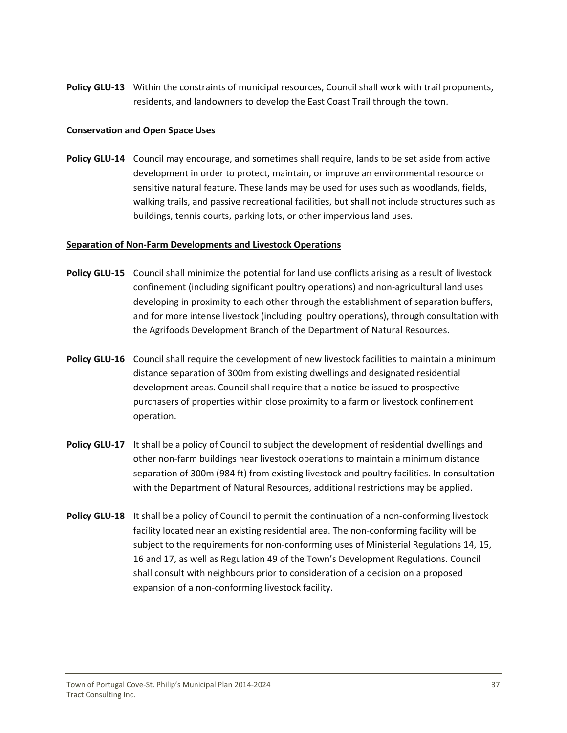**Policy GLU‐13**  Within the constraints of municipal resources, Council shall work with trail proponents, residents, and landowners to develop the East Coast Trail through the town.

#### **Conservation and Open Space Uses**

**Policy GLU‐14** Council may encourage, and sometimes shall require, lands to be set aside from active development in order to protect, maintain, or improve an environmental resource or sensitive natural feature. These lands may be used for uses such as woodlands, fields, walking trails, and passive recreational facilities, but shall not include structures such as buildings, tennis courts, parking lots, or other impervious land uses.

#### **Separation of Non‐Farm Developments and Livestock Operations**

- **Policy GLU‐15** Council shall minimize the potential for land use conflicts arising as a result of livestock confinement (including significant poultry operations) and non‐agricultural land uses developing in proximity to each other through the establishment of separation buffers, and for more intense livestock (including poultry operations), through consultation with the Agrifoods Development Branch of the Department of Natural Resources.
- **Policy GLU‐16** Council shall require the development of new livestock facilities to maintain a minimum distance separation of 300m from existing dwellings and designated residential development areas. Council shall require that a notice be issued to prospective purchasers of properties within close proximity to a farm or livestock confinement operation.
- **Policy GLU‐17**  It shall be a policy of Council to subject the development of residential dwellings and other non‐farm buildings near livestock operations to maintain a minimum distance separation of 300m (984 ft) from existing livestock and poultry facilities. In consultation with the Department of Natural Resources, additional restrictions may be applied.
- **Policy <b>GLU**-18 It shall be a policy of Council to permit the continuation of a non-conforming livestock facility located near an existing residential area. The non-conforming facility will be subject to the requirements for non-conforming uses of Ministerial Regulations 14, 15, 16 and 17, as well as Regulation 49 of the Town's Development Regulations. Council shall consult with neighbours prior to consideration of a decision on a proposed expansion of a non-conforming livestock facility.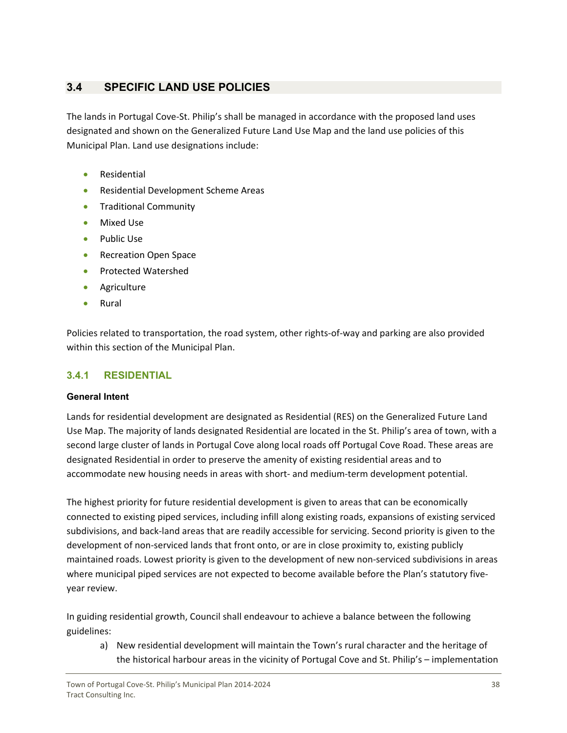# <span id="page-38-0"></span>**3.4 SPECIFIC LAND USE POLICIES**

The lands in Portugal Cove-St. Philip's shall be managed in accordance with the proposed land uses designated and shown on the Generalized Future Land Use Map and the land use policies of this Municipal Plan. Land use designations include:

- **•** Residential
- Residential Development Scheme Areas
- **•** Traditional Community
- Mixed Use
- Public Use
- **•** Recreation Open Space
- Protected Watershed
- **•** Agriculture
- Rural

Policies related to transportation, the road system, other rights‐of‐way and parking are also provided within this section of the Municipal Plan.

# **3.4.1 RESIDENTIAL**

#### **General Intent**

Lands for residential development are designated as Residential (RES) on the Generalized Future Land Use Map. The majority of lands designated Residential are located in the St. Philip's area of town, with a second large cluster of lands in Portugal Cove along local roads off Portugal Cove Road. These areas are designated Residential in order to preserve the amenity of existing residential areas and to accommodate new housing needs in areas with short- and medium-term development potential.

The highest priority for future residential development is given to areas that can be economically connected to existing piped services, including infill along existing roads, expansions of existing serviced subdivisions, and back‐land areas that are readily accessible for servicing. Second priority is given to the development of non-serviced lands that front onto, or are in close proximity to, existing publicly maintained roads. Lowest priority is given to the development of new non-serviced subdivisions in areas where municipal piped services are not expected to become available before the Plan's statutory fiveyear review.

In guiding residential growth, Council shall endeavour to achieve a balance between the following guidelines:

a) New residential development will maintain the Town's rural character and the heritage of the historical harbour areas in the vicinity of Portugal Cove and St. Philip's – implementation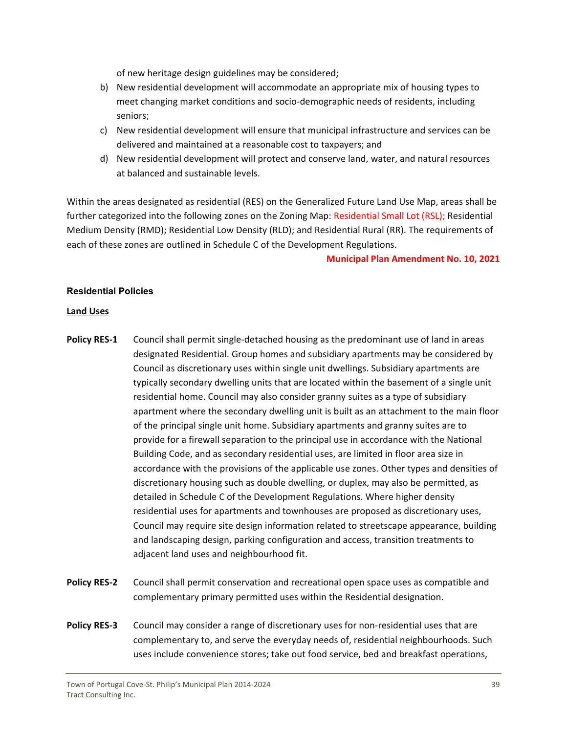of new heritage design guidelines may be considered;

- b) New residential development will accommodate an appropriate mix of housing types to meet changing market conditions and socio-demographic needs of residents, including seniors;
- c) New residential development will ensure that municipal infrastructure and services can be delivered and maintained at a reasonable cost to taxpayers; and
- d) New residential development will protect and conserve land, water, and natural resources at balanced and sustainable levels.

Within the areas designated as residential (RES) on the Generalized Future Land Use Map, areas shall be further categorized into the following zones on the Zoning Map: Residential Small Lot (RSL); Residential Medium Density (RMD); Residential Low Density (RLD); and Residential Rural (RR). The requirements of each of these zones are outlined in Schedule C of the Development Regulations.

#### **Municipal Plan Amendment No. 10, 2021**

#### **Residential Policies**

#### **Land Uses**

- **Policy RES‐1** Council shall permit single‐detached housing as the predominant use of land in areas designated Residential. Group homes and subsidiary apartments may be considered by Council as discretionary uses within single unit dwellings. Subsidiary apartments are typically secondary dwelling units that are located within the basement of a single unit residential home. Council may also consider granny suites as a type of subsidiary apartment where the secondary dwelling unit is built as an attachment to the main floor of the principal single unit home. Subsidiary apartments and granny suites are to provide for a firewall separation to the principal use in accordance with the National Building Code, and as secondary residential uses, are limited in floor area size in accordance with the provisions of the applicable use zones. Other types and densities of discretionary housing such as double dwelling, or duplex, may also be permitted, as detailed in Schedule C of the Development Regulations. Where higher density residential uses for apartments and townhouses are proposed as discretionary uses, Council may require site design information related to streetscape appearance, building and landscaping design, parking configuration and access, transition treatments to adjacent land uses and neighbourhood fit.
- **Policy RES‐2** Council shall permit conservation and recreational open space uses as compatible and complementary primary permitted uses within the Residential designation.
- **Policy RES-3** Council may consider a range of discretionary uses for non-residential uses that are complementary to, and serve the everyday needs of, residential neighbourhoods. Such uses include convenience stores; take out food service, bed and breakfast operations,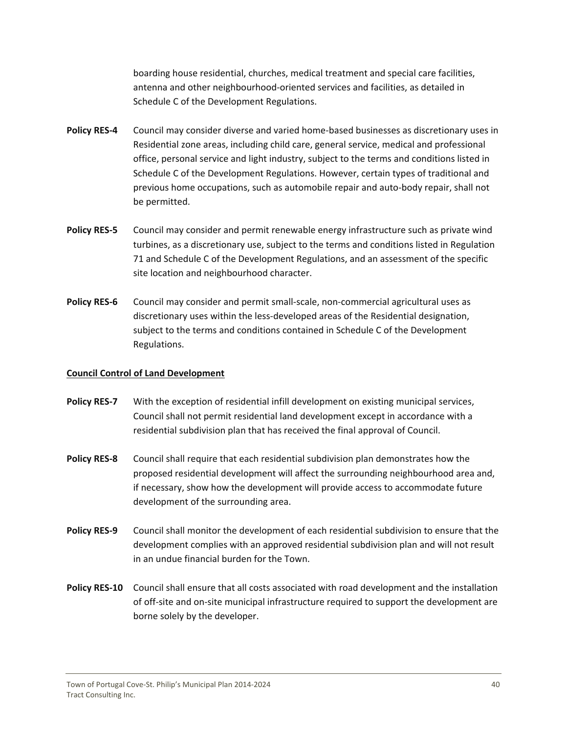boarding house residential, churches, medical treatment and special care facilities, antenna and other neighbourhood‐oriented services and facilities, as detailed in Schedule C of the Development Regulations.

- **Policy RES‐4** Council may consider diverse and varied home‐based businesses as discretionary uses in Residential zone areas, including child care, general service, medical and professional office, personal service and light industry, subject to the terms and conditions listed in Schedule C of the Development Regulations. However, certain types of traditional and previous home occupations, such as automobile repair and auto‐body repair, shall not be permitted.
- **Policy RES‐5** Council may consider and permit renewable energy infrastructure such as private wind turbines, as a discretionary use, subject to the terms and conditions listed in Regulation 71 and Schedule C of the Development Regulations, and an assessment of the specific site location and neighbourhood character.
- **Policy RES‐6** Council may consider and permit small‐scale, non‐commercial agricultural uses as discretionary uses within the less‐developed areas of the Residential designation, subject to the terms and conditions contained in Schedule C of the Development Regulations.

#### **Council Control of Land Development**

- **Policy RES‐7** With the exception of residential infill development on existing municipal services, Council shall not permit residential land development except in accordance with a residential subdivision plan that has received the final approval of Council.
- **Policy RES‐8** Council shall require that each residential subdivision plan demonstrates how the proposed residential development will affect the surrounding neighbourhood area and, if necessary, show how the development will provide access to accommodate future development of the surrounding area.
- **Policy RES‐9** Council shall monitor the development of each residential subdivision to ensure that the development complies with an approved residential subdivision plan and will not result in an undue financial burden for the Town.
- **Policy RES‐10**  Council shall ensure that all costs associated with road development and the installation of off‐site and on‐site municipal infrastructure required to support the development are borne solely by the developer.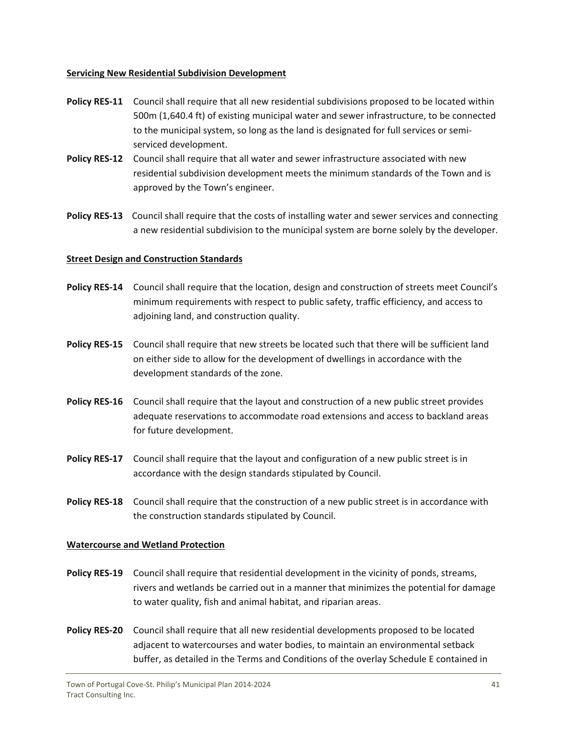#### **Servicing New Residential Subdivision Development**

- **Policy RES‐11**  Council shall require that all new residential subdivisions proposed to be located within 500m (1,640.4 ft) of existing municipal water and sewer infrastructure, to be connected to the municipal system, so long as the land is designated for full services or semi‐ serviced development.
- **Policy RES‐12**  Council shall require that all water and sewer infrastructure associated with new residential subdivision development meets the minimum standards of the Town and is approved by the Town's engineer.
- **Policy RES‐13** Council shall require that the costs of installing water and sewer services and connecting a new residential subdivision to the municipal system are borne solely by the developer.

#### **Street Design and Construction Standards**

- **Policy RES‐14**  Council shall require that the location, design and construction of streets meet Council's minimum requirements with respect to public safety, traffic efficiency, and access to adjoining land, and construction quality.
- **Policy RES‐15**  Council shall require that new streets be located such that there will be sufficient land on either side to allow for the development of dwellings in accordance with the development standards of the zone.
- **Policy RES‐16** Council shall require that the layout and construction of a new public street provides adequate reservations to accommodate road extensions and access to backland areas for future development.
- **Policy RES‐17**  Council shall require that the layout and configuration of a new public street is in accordance with the design standards stipulated by Council.
- **Policy RES‐18**  Council shall require that the construction of a new public street is in accordance with the construction standards stipulated by Council.

#### **Watercourse and Wetland Protection**

- **Policy RES‐19**  Council shall require that residential development in the vicinity of ponds, streams, rivers and wetlands be carried out in a manner that minimizes the potential for damage to water quality, fish and animal habitat, and riparian areas.
- **Policy RES‐20**  Council shall require that all new residential developments proposed to be located adjacent to watercourses and water bodies, to maintain an environmental setback buffer, as detailed in the Terms and Conditions of the overlay Schedule E contained in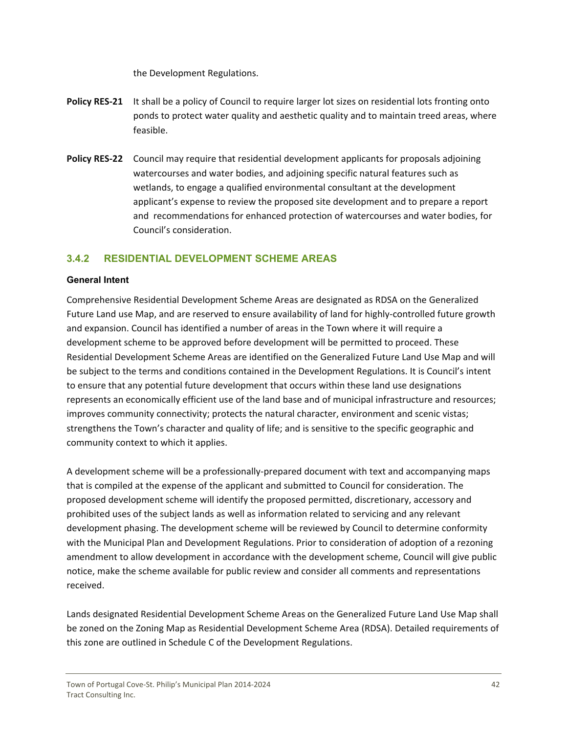the Development Regulations.

- <span id="page-42-0"></span>**Policy RES‐21**  It shall be a policy of Council to require larger lot sizes on residential lots fronting onto ponds to protect water quality and aesthetic quality and to maintain treed areas, where feasible.
- **Policy RES‐22**  Council may require that residential development applicants for proposals adjoining watercourses and water bodies, and adjoining specific natural features such as wetlands, to engage a qualified environmental consultant at the development applicant's expense to review the proposed site development and to prepare a report and recommendations for enhanced protection of watercourses and water bodies, for Council's consideration.

### **3.4.2 RESIDENTIAL DEVELOPMENT SCHEME AREAS**

#### **General Intent**

Comprehensive Residential Development Scheme Areas are designated as RDSA on the Generalized Future Land use Map, and are reserved to ensure availability of land for highly‐controlled future growth and expansion. Council has identified a number of areas in the Town where it will require a development scheme to be approved before development will be permitted to proceed. These Residential Development Scheme Areas are identified on the Generalized Future Land Use Map and will be subject to the terms and conditions contained in the Development Regulations. It is Council's intent to ensure that any potential future development that occurs within these land use designations represents an economically efficient use of the land base and of municipal infrastructure and resources; improves community connectivity; protects the natural character, environment and scenic vistas; strengthens the Town's character and quality of life; and is sensitive to the specific geographic and community context to which it applies.

A development scheme will be a professionally‐prepared document with text and accompanying maps that is compiled at the expense of the applicant and submitted to Council for consideration. The proposed development scheme will identify the proposed permitted, discretionary, accessory and prohibited uses of the subject lands as well as information related to servicing and any relevant development phasing. The development scheme will be reviewed by Council to determine conformity with the Municipal Plan and Development Regulations. Prior to consideration of adoption of a rezoning amendment to allow development in accordance with the development scheme, Council will give public notice, make the scheme available for public review and consider all comments and representations received.

Lands designated Residential Development Scheme Areas on the Generalized Future Land Use Map shall be zoned on the Zoning Map as Residential Development Scheme Area (RDSA). Detailed requirements of this zone are outlined in Schedule C of the Development Regulations.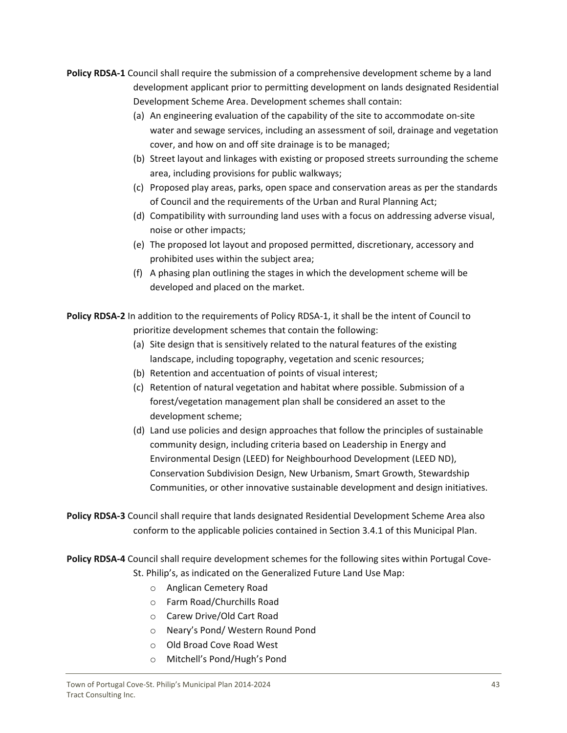- **Policy RDSA‐1** Council shall require the submission of a comprehensive development scheme by a land development applicant prior to permitting development on lands designated Residential Development Scheme Area. Development schemes shall contain:
	- (a) An engineering evaluation of the capability of the site to accommodate on‐site water and sewage services, including an assessment of soil, drainage and vegetation cover, and how on and off site drainage is to be managed;
	- (b) Street layout and linkages with existing or proposed streets surrounding the scheme area, including provisions for public walkways;
	- (c) Proposed play areas, parks, open space and conservation areas as per the standards of Council and the requirements of the Urban and Rural Planning Act;
	- (d) Compatibility with surrounding land uses with a focus on addressing adverse visual, noise or other impacts;
	- (e) The proposed lot layout and proposed permitted, discretionary, accessory and prohibited uses within the subject area;
	- (f) A phasing plan outlining the stages in which the development scheme will be developed and placed on the market.

**Policy RDSA‐2** In addition to the requirements of Policy RDSA‐1, it shall be the intent of Council to prioritize development schemes that contain the following:

- (a) Site design that is sensitively related to the natural features of the existing landscape, including topography, vegetation and scenic resources;
- (b) Retention and accentuation of points of visual interest;
- (c) Retention of natural vegetation and habitat where possible. Submission of a forest/vegetation management plan shall be considered an asset to the development scheme;
- (d) Land use policies and design approaches that follow the principles of sustainable community design, including criteria based on Leadership in Energy and Environmental Design (LEED) for Neighbourhood Development (LEED ND), Conservation Subdivision Design, New Urbanism, Smart Growth, Stewardship Communities, or other innovative sustainable development and design initiatives.

**Policy RDSA‐3** Council shall require that lands designated Residential Development Scheme Area also conform to the applicable policies contained in Section 3.4.1 of this Municipal Plan.

**Policy RDSA‐4** Council shall require development schemes for the following sites within Portugal Cove‐ St. Philip's, as indicated on the Generalized Future Land Use Map:

- o Anglican Cemetery Road
- o Farm Road/Churchills Road
- o Carew Drive/Old Cart Road
- o Neary's Pond/ Western Round Pond
- o Old Broad Cove Road West
- o Mitchell's Pond/Hugh's Pond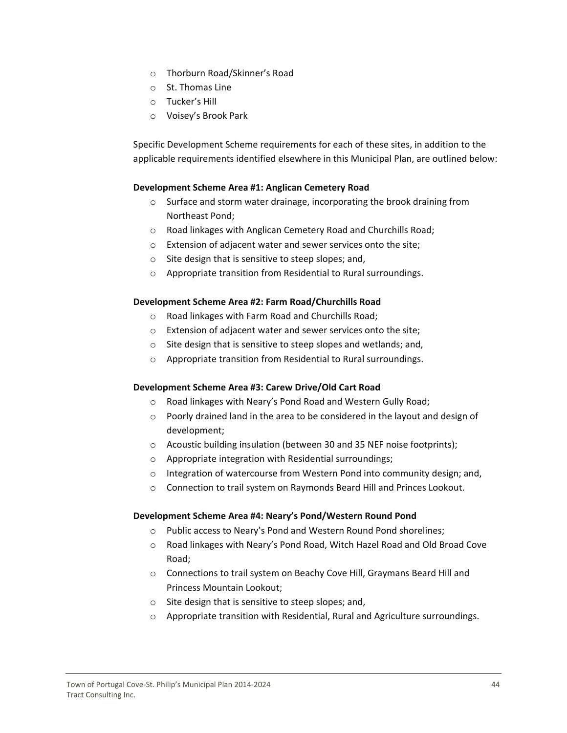- o Thorburn Road/Skinner's Road
- o St. Thomas Line
- o Tucker's Hill
- o Voisey's Brook Park

Specific Development Scheme requirements for each of these sites, in addition to the applicable requirements identified elsewhere in this Municipal Plan, are outlined below:

#### **Development Scheme Area #1: Anglican Cemetery Road**

- o Surface and storm water drainage, incorporating the brook draining from Northeast Pond;
- o Road linkages with Anglican Cemetery Road and Churchills Road;
- o Extension of adjacent water and sewer services onto the site;
- o Site design that is sensitive to steep slopes; and,
- o Appropriate transition from Residential to Rural surroundings.

#### **Development Scheme Area #2: Farm Road/Churchills Road**

- o Road linkages with Farm Road and Churchills Road;
- o Extension of adjacent water and sewer services onto the site;
- o Site design that is sensitive to steep slopes and wetlands; and,
- o Appropriate transition from Residential to Rural surroundings.

#### **Development Scheme Area #3: Carew Drive/Old Cart Road**

- o Road linkages with Neary's Pond Road and Western Gully Road;
- o Poorly drained land in the area to be considered in the layout and design of development;
- o Acoustic building insulation (between 30 and 35 NEF noise footprints);
- o Appropriate integration with Residential surroundings;
- o Integration of watercourse from Western Pond into community design; and,
- o Connection to trail system on Raymonds Beard Hill and Princes Lookout.

#### **Development Scheme Area #4: Neary's Pond/Western Round Pond**

- o Public access to Neary's Pond and Western Round Pond shorelines;
- o Road linkages with Neary's Pond Road, Witch Hazel Road and Old Broad Cove Road;
- o Connections to trail system on Beachy Cove Hill, Graymans Beard Hill and Princess Mountain Lookout;
- o Site design that is sensitive to steep slopes; and,
- o Appropriate transition with Residential, Rural and Agriculture surroundings.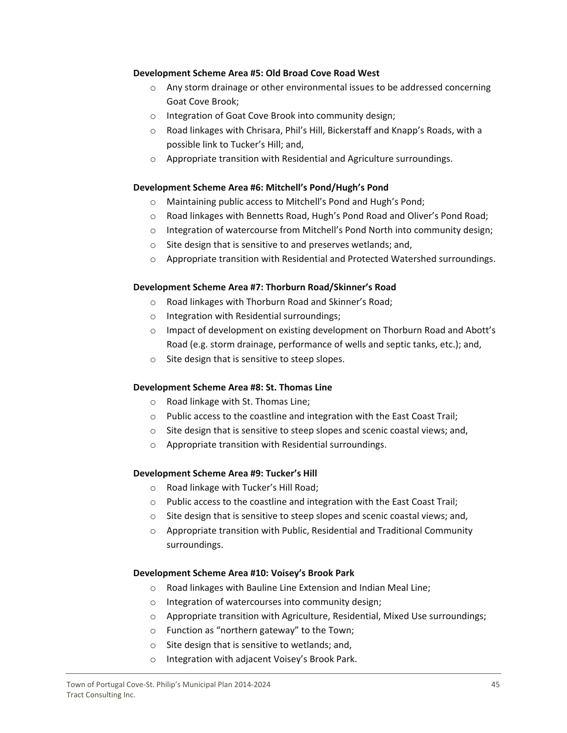#### **Development Scheme Area #5: Old Broad Cove Road West**

- o Any storm drainage or other environmental issues to be addressed concerning Goat Cove Brook;
- o Integration of Goat Cove Brook into community design;
- $\circ$  Road linkages with Chrisara, Phil's Hill, Bickerstaff and Knapp's Roads, with a possible link to Tucker's Hill; and,
- o Appropriate transition with Residential and Agriculture surroundings.

#### **Development Scheme Area #6: Mitchell's Pond/Hugh's Pond**

- o Maintaining public access to Mitchell's Pond and Hugh's Pond;
- o Road linkages with Bennetts Road, Hugh's Pond Road and Oliver's Pond Road;
- $\circ$  Integration of watercourse from Mitchell's Pond North into community design;
- o Site design that is sensitive to and preserves wetlands; and,
- o Appropriate transition with Residential and Protected Watershed surroundings.

#### **Development Scheme Area #7: Thorburn Road/Skinner's Road**

- o Road linkages with Thorburn Road and Skinner's Road;
- o Integration with Residential surroundings;
- o Impact of development on existing development on Thorburn Road and Abott's Road (e.g. storm drainage, performance of wells and septic tanks, etc.); and,
- o Site design that is sensitive to steep slopes.

#### **Development Scheme Area #8: St. Thomas Line**

- o Road linkage with St. Thomas Line;
- o Public access to the coastline and integration with the East Coast Trail;
- o Site design that is sensitive to steep slopes and scenic coastal views; and,
- o Appropriate transition with Residential surroundings.

# **Development Scheme Area #9: Tucker's Hill**

- o Road linkage with Tucker's Hill Road;
- o Public access to the coastline and integration with the East Coast Trail;
- o Site design that is sensitive to steep slopes and scenic coastal views; and,
- o Appropriate transition with Public, Residential and Traditional Community surroundings.

#### **Development Scheme Area #10: Voisey's Brook Park**

- o Road linkages with Bauline Line Extension and Indian Meal Line;
- o Integration of watercourses into community design;
- o Appropriate transition with Agriculture, Residential, Mixed Use surroundings;
- o Function as "northern gateway" to the Town;
- o Site design that is sensitive to wetlands; and,
- o Integration with adjacent Voisey's Brook Park.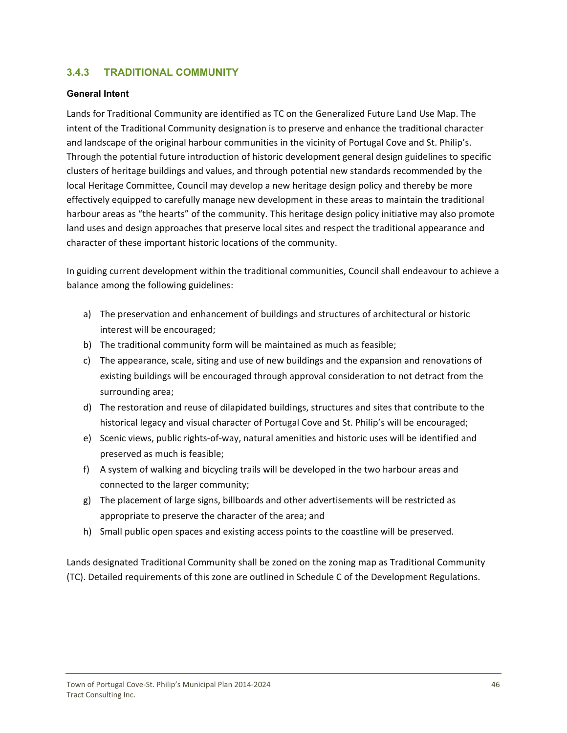### <span id="page-46-0"></span>**3.4.3 TRADITIONAL COMMUNITY**

#### **General Intent**

Lands for Traditional Community are identified as TC on the Generalized Future Land Use Map. The intent of the Traditional Community designation is to preserve and enhance the traditional character and landscape of the original harbour communities in the vicinity of Portugal Cove and St. Philip's. Through the potential future introduction of historic development general design guidelines to specific clusters of heritage buildings and values, and through potential new standards recommended by the local Heritage Committee, Council may develop a new heritage design policy and thereby be more effectively equipped to carefully manage new development in these areas to maintain the traditional harbour areas as "the hearts" of the community. This heritage design policy initiative may also promote land uses and design approaches that preserve local sites and respect the traditional appearance and character of these important historic locations of the community.

In guiding current development within the traditional communities, Council shall endeavour to achieve a balance among the following guidelines:

- a) The preservation and enhancement of buildings and structures of architectural or historic interest will be encouraged;
- b) The traditional community form will be maintained as much as feasible;
- c) The appearance, scale, siting and use of new buildings and the expansion and renovations of existing buildings will be encouraged through approval consideration to not detract from the surrounding area;
- d) The restoration and reuse of dilapidated buildings, structures and sites that contribute to the historical legacy and visual character of Portugal Cove and St. Philip's will be encouraged;
- e) Scenic views, public rights‐of‐way, natural amenities and historic uses will be identified and preserved as much is feasible;
- f) A system of walking and bicycling trails will be developed in the two harbour areas and connected to the larger community;
- g) The placement of large signs, billboards and other advertisements will be restricted as appropriate to preserve the character of the area; and
- h) Small public open spaces and existing access points to the coastline will be preserved.

Lands designated Traditional Community shall be zoned on the zoning map as Traditional Community (TC). Detailed requirements of this zone are outlined in Schedule C of the Development Regulations.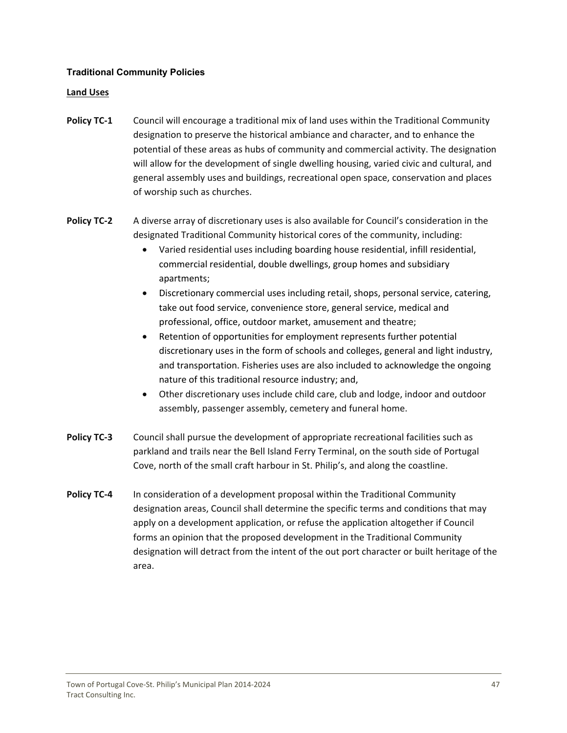#### **Traditional Community Policies**

#### **Land Uses**

- **Policy TC‐1** Council will encourage a traditional mix of land uses within the Traditional Community designation to preserve the historical ambiance and character, and to enhance the potential of these areas as hubs of community and commercial activity. The designation will allow for the development of single dwelling housing, varied civic and cultural, and general assembly uses and buildings, recreational open space, conservation and places of worship such as churches.
- **Policy TC‐2**  A diverse array of discretionary uses is also available for Council's consideration in the designated Traditional Community historical cores of the community, including:
	- Varied residential uses including boarding house residential, infill residential, commercial residential, double dwellings, group homes and subsidiary apartments;
	- Discretionary commercial uses including retail, shops, personal service, catering, take out food service, convenience store, general service, medical and professional, office, outdoor market, amusement and theatre;
	- Retention of opportunities for employment represents further potential discretionary uses in the form of schools and colleges, general and light industry, and transportation. Fisheries uses are also included to acknowledge the ongoing nature of this traditional resource industry; and,
	- Other discretionary uses include child care, club and lodge, indoor and outdoor assembly, passenger assembly, cemetery and funeral home.
- **Policy TC‐3** Council shall pursue the development of appropriate recreational facilities such as parkland and trails near the Bell Island Ferry Terminal, on the south side of Portugal Cove, north of the small craft harbour in St. Philip's, and along the coastline.
- **Policy TC‐4** In consideration of a development proposal within the Traditional Community designation areas, Council shall determine the specific terms and conditions that may apply on a development application, or refuse the application altogether if Council forms an opinion that the proposed development in the Traditional Community designation will detract from the intent of the out port character or built heritage of the area.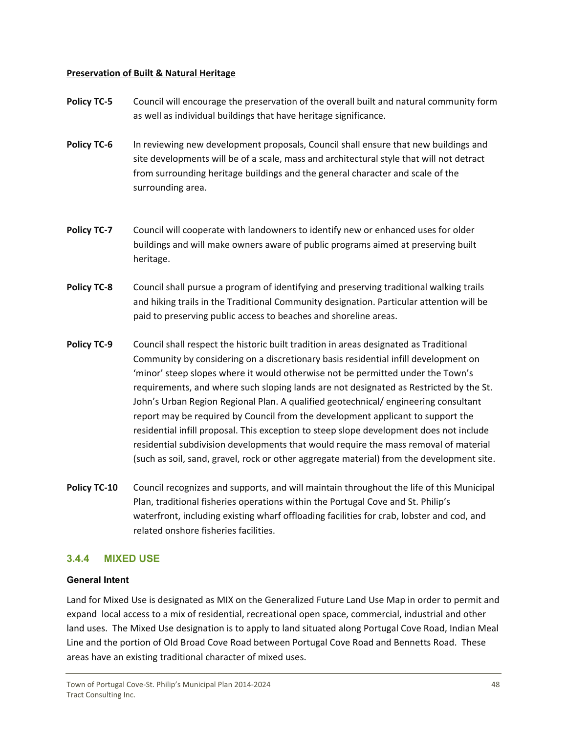#### <span id="page-48-0"></span>**Preservation of Built & Natural Heritage**

- **Policy TC‐5** Council will encourage the preservation of the overall built and natural community form as well as individual buildings that have heritage significance.
- **Policy TC-6** In reviewing new development proposals, Council shall ensure that new buildings and site developments will be of a scale, mass and architectural style that will not detract from surrounding heritage buildings and the general character and scale of the surrounding area.
- **Policy TC‐7** Council will cooperate with landowners to identify new or enhanced uses for older buildings and will make owners aware of public programs aimed at preserving built heritage.
- **Policy TC‐8** Council shall pursue a program of identifying and preserving traditional walking trails and hiking trails in the Traditional Community designation. Particular attention will be paid to preserving public access to beaches and shoreline areas.
- **Policy TC‐9** Council shall respect the historic built tradition in areas designated as Traditional Community by considering on a discretionary basis residential infill development on 'minor' steep slopes where it would otherwise not be permitted under the Town's requirements, and where such sloping lands are not designated as Restricted by the St. John's Urban Region Regional Plan. A qualified geotechnical/ engineering consultant report may be required by Council from the development applicant to support the residential infill proposal. This exception to steep slope development does not include residential subdivision developments that would require the mass removal of material (such as soil, sand, gravel, rock or other aggregate material) from the development site.
- **Policy TC‐10**  Council recognizes and supports, and will maintain throughout the life of this Municipal Plan, traditional fisheries operations within the Portugal Cove and St. Philip's waterfront, including existing wharf offloading facilities for crab, lobster and cod, and related onshore fisheries facilities.

# **3.4.4 MIXED USE**

#### **General Intent**

Land for Mixed Use is designated as MIX on the Generalized Future Land Use Map in order to permit and expand local access to a mix of residential, recreational open space, commercial, industrial and other land uses. The Mixed Use designation is to apply to land situated along Portugal Cove Road, Indian Meal Line and the portion of Old Broad Cove Road between Portugal Cove Road and Bennetts Road. These areas have an existing traditional character of mixed uses.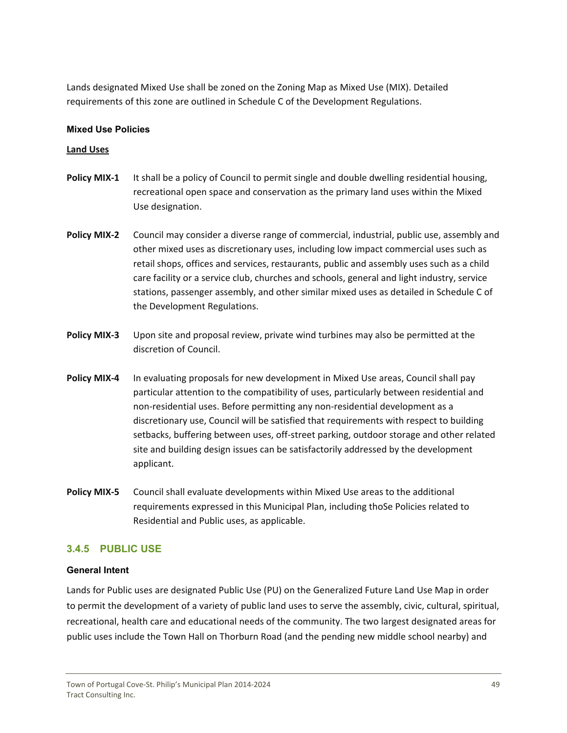<span id="page-49-0"></span>Lands designated Mixed Use shall be zoned on the Zoning Map as Mixed Use (MIX). Detailed requirements of this zone are outlined in Schedule C of the Development Regulations.

#### **Mixed Use Policies**

#### **Land Uses**

- **Policy MIX‐1** It shall be a policy of Council to permit single and double dwelling residential housing, recreational open space and conservation as the primary land uses within the Mixed Use designation.
- **Policy MIX‐2**  Council may consider a diverse range of commercial, industrial, public use, assembly and other mixed uses as discretionary uses, including low impact commercial uses such as retail shops, offices and services, restaurants, public and assembly uses such as a child care facility or a service club, churches and schools, general and light industry, service stations, passenger assembly, and other similar mixed uses as detailed in Schedule C of the Development Regulations.
- **Policy MIX‐3**  Upon site and proposal review, private wind turbines may also be permitted at the discretion of Council.
- **Policy MIX‐4** In evaluating proposals for new development in Mixed Use areas, Council shall pay particular attention to the compatibility of uses, particularly between residential and non‐residential uses. Before permitting any non‐residential development as a discretionary use, Council will be satisfied that requirements with respect to building setbacks, buffering between uses, off‐street parking, outdoor storage and other related site and building design issues can be satisfactorily addressed by the development applicant.
- **Policy MIX‐5** Council shall evaluate developments within Mixed Use areas to the additional requirements expressed in this Municipal Plan, including thoSe Policies related to Residential and Public uses, as applicable.

#### **3.4.5 PUBLIC USE**

#### **General Intent**

Lands for Public uses are designated Public Use (PU) on the Generalized Future Land Use Map in order to permit the development of a variety of public land uses to serve the assembly, civic, cultural, spiritual, recreational, health care and educational needs of the community. The two largest designated areas for public uses include the Town Hall on Thorburn Road (and the pending new middle school nearby) and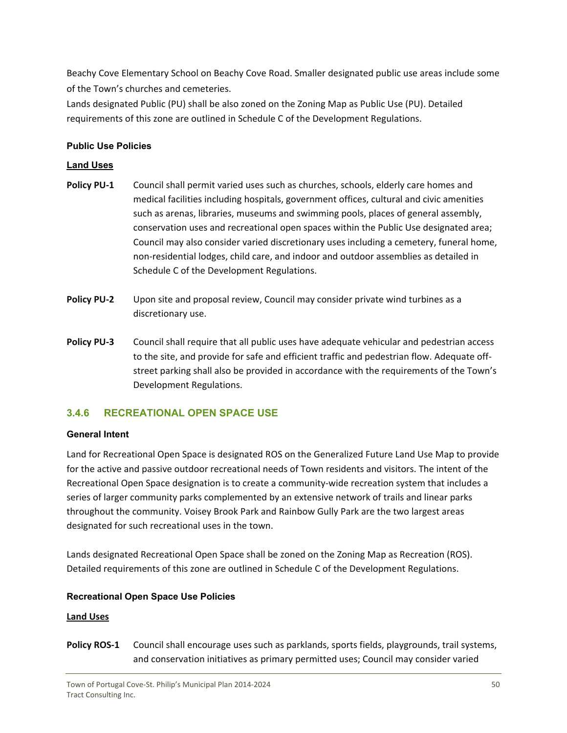<span id="page-50-0"></span>Beachy Cove Elementary School on Beachy Cove Road. Smaller designated public use areas include some of the Town's churches and cemeteries.

Lands designated Public (PU) shall be also zoned on the Zoning Map as Public Use (PU). Detailed requirements of this zone are outlined in Schedule C of the Development Regulations.

#### **Public Use Policies**

#### **Land Uses**

- **Policy PU-1** Council shall permit varied uses such as churches, schools, elderly care homes and medical facilities including hospitals, government offices, cultural and civic amenities such as arenas, libraries, museums and swimming pools, places of general assembly, conservation uses and recreational open spaces within the Public Use designated area; Council may also consider varied discretionary uses including a cemetery, funeral home, non‐residential lodges, child care, and indoor and outdoor assemblies as detailed in Schedule C of the Development Regulations.
- **Policy PU-2** Upon site and proposal review, Council may consider private wind turbines as a discretionary use.
- **Policy PU‐3** Council shall require that all public uses have adequate vehicular and pedestrian access to the site, and provide for safe and efficient traffic and pedestrian flow. Adequate off‐ street parking shall also be provided in accordance with the requirements of the Town's Development Regulations.

# **3.4.6 RECREATIONAL OPEN SPACE USE**

#### **General Intent**

Land for Recreational Open Space is designated ROS on the Generalized Future Land Use Map to provide for the active and passive outdoor recreational needs of Town residents and visitors. The intent of the Recreational Open Space designation is to create a community-wide recreation system that includes a series of larger community parks complemented by an extensive network of trails and linear parks throughout the community. Voisey Brook Park and Rainbow Gully Park are the two largest areas designated for such recreational uses in the town.

Lands designated Recreational Open Space shall be zoned on the Zoning Map as Recreation (ROS). Detailed requirements of this zone are outlined in Schedule C of the Development Regulations.

# **Recreational Open Space Use Policies**

#### **Land Uses**

**Policy ROS‐1** Council shall encourage uses such as parklands, sports fields, playgrounds, trail systems, and conservation initiatives as primary permitted uses; Council may consider varied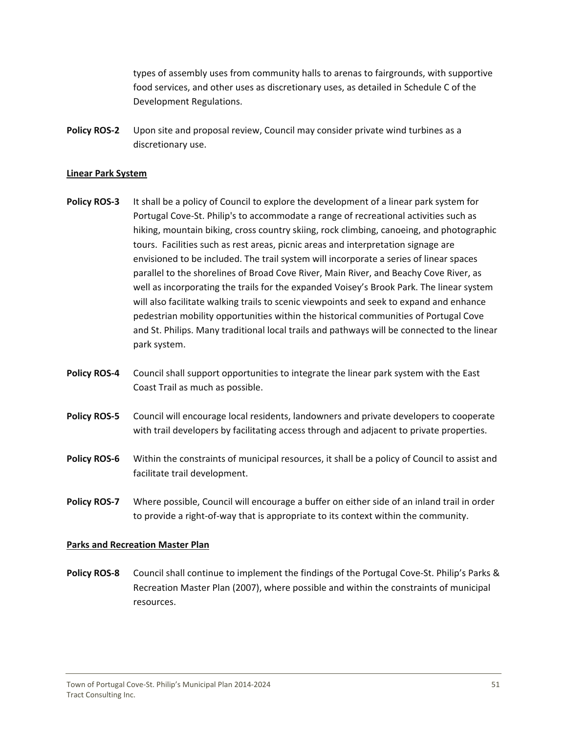types of assembly uses from community halls to arenas to fairgrounds, with supportive food services, and other uses as discretionary uses, as detailed in Schedule C of the Development Regulations.

**Policy ROS‐2**  Upon site and proposal review, Council may consider private wind turbines as a discretionary use.

#### **Linear Park System**

- **Policy ROS‐3** It shall be a policy of Council to explore the development of a linear park system for Portugal Cove‐St. Philip's to accommodate a range of recreational activities such as hiking, mountain biking, cross country skiing, rock climbing, canoeing, and photographic tours. Facilities such as rest areas, picnic areas and interpretation signage are envisioned to be included. The trail system will incorporate a series of linear spaces parallel to the shorelines of Broad Cove River, Main River, and Beachy Cove River, as well as incorporating the trails for the expanded Voisey's Brook Park. The linear system will also facilitate walking trails to scenic viewpoints and seek to expand and enhance pedestrian mobility opportunities within the historical communities of Portugal Cove and St. Philips. Many traditional local trails and pathways will be connected to the linear park system.
- **Policy ROS‐4** Council shall support opportunities to integrate the linear park system with the East Coast Trail as much as possible.
- **Policy ROS‐5** Council will encourage local residents, landowners and private developers to cooperate with trail developers by facilitating access through and adjacent to private properties.
- **Policy ROS‐6** Within the constraints of municipal resources, it shall be a policy of Council to assist and facilitate trail development.
- **Policy ROS‐7** Where possible, Council will encourage a buffer on either side of an inland trail in order to provide a right‐of‐way that is appropriate to its context within the community.

#### **Parks and Recreation Master Plan**

**Policy ROS‐8** Council shall continue to implement the findings of the Portugal Cove‐St. Philip's Parks & Recreation Master Plan (2007), where possible and within the constraints of municipal resources.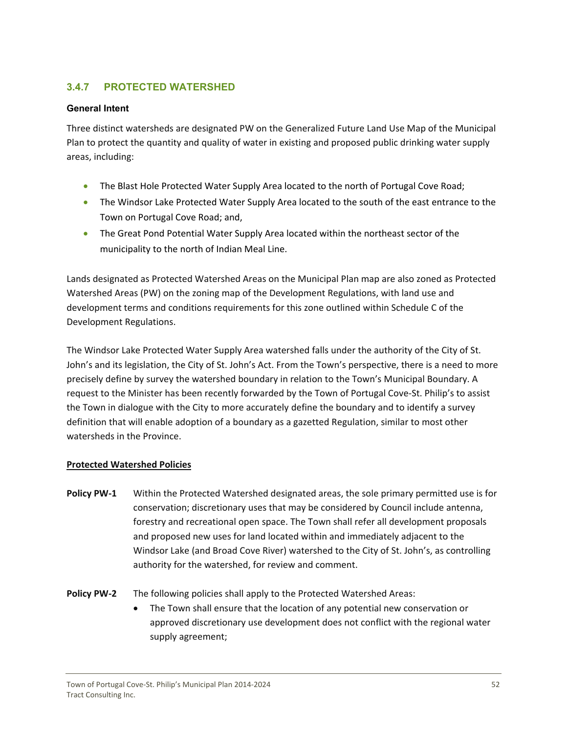# <span id="page-52-0"></span>**3.4.7 PROTECTED WATERSHED**

#### **General Intent**

Three distinct watersheds are designated PW on the Generalized Future Land Use Map of the Municipal Plan to protect the quantity and quality of water in existing and proposed public drinking water supply areas, including:

- The Blast Hole Protected Water Supply Area located to the north of Portugal Cove Road;
- The Windsor Lake Protected Water Supply Area located to the south of the east entrance to the Town on Portugal Cove Road; and,
- The Great Pond Potential Water Supply Area located within the northeast sector of the municipality to the north of Indian Meal Line.

Lands designated as Protected Watershed Areas on the Municipal Plan map are also zoned as Protected Watershed Areas (PW) on the zoning map of the Development Regulations, with land use and development terms and conditions requirements for this zone outlined within Schedule C of the Development Regulations.

The Windsor Lake Protected Water Supply Area watershed falls under the authority of the City of St. John's and its legislation, the City of St. John's Act. From the Town's perspective, there is a need to more precisely define by survey the watershed boundary in relation to the Town's Municipal Boundary. A request to the Minister has been recently forwarded by the Town of Portugal Cove‐St. Philip's to assist the Town in dialogue with the City to more accurately define the boundary and to identify a survey definition that will enable adoption of a boundary as a gazetted Regulation, similar to most other watersheds in the Province.

#### **Protected Watershed Policies**

**Policy PW‐1** Within the Protected Watershed designated areas, the sole primary permitted use is for conservation; discretionary uses that may be considered by Council include antenna, forestry and recreational open space. The Town shall refer all development proposals and proposed new uses for land located within and immediately adjacent to the Windsor Lake (and Broad Cove River) watershed to the City of St. John's, as controlling authority for the watershed, for review and comment.

**Policy PW-2** The following policies shall apply to the Protected Watershed Areas:

 The Town shall ensure that the location of any potential new conservation or approved discretionary use development does not conflict with the regional water supply agreement;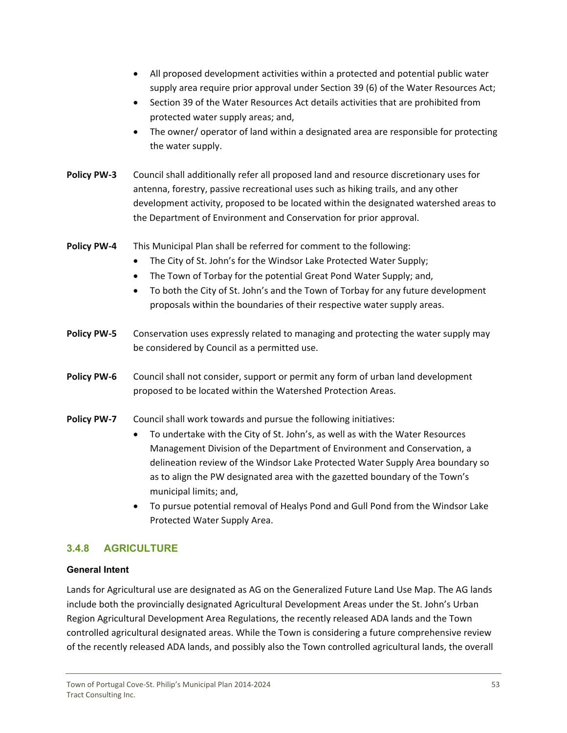- <span id="page-53-0"></span> All proposed development activities within a protected and potential public water supply area require prior approval under Section 39 (6) of the Water Resources Act;
- Section 39 of the Water Resources Act details activities that are prohibited from protected water supply areas; and,
- The owner/ operator of land within a designated area are responsible for protecting the water supply.
- **Policy PW‐3**  Council shall additionally refer all proposed land and resource discretionary uses for antenna, forestry, passive recreational uses such as hiking trails, and any other development activity, proposed to be located within the designated watershed areas to the Department of Environment and Conservation for prior approval.
- **Policy PW‐4**  This Municipal Plan shall be referred for comment to the following:
	- The City of St. John's for the Windsor Lake Protected Water Supply;
	- The Town of Torbay for the potential Great Pond Water Supply; and,
	- To both the City of St. John's and the Town of Torbay for any future development proposals within the boundaries of their respective water supply areas.
- **Policy PW‐5** Conservation uses expressly related to managing and protecting the water supply may be considered by Council as a permitted use.
- **Policy PW‐6**  Council shall not consider, support or permit any form of urban land development proposed to be located within the Watershed Protection Areas.
- **Policy PW-7** Council shall work towards and pursue the following initiatives:
	- To undertake with the City of St. John's, as well as with the Water Resources Management Division of the Department of Environment and Conservation, a delineation review of the Windsor Lake Protected Water Supply Area boundary so as to align the PW designated area with the gazetted boundary of the Town's municipal limits; and,
	- To pursue potential removal of Healys Pond and Gull Pond from the Windsor Lake Protected Water Supply Area.

# **3.4.8 AGRICULTURE**

#### **General Intent**

Lands for Agricultural use are designated as AG on the Generalized Future Land Use Map. The AG lands include both the provincially designated Agricultural Development Areas under the St. John's Urban Region Agricultural Development Area Regulations, the recently released ADA lands and the Town controlled agricultural designated areas. While the Town is considering a future comprehensive review of the recently released ADA lands, and possibly also the Town controlled agricultural lands, the overall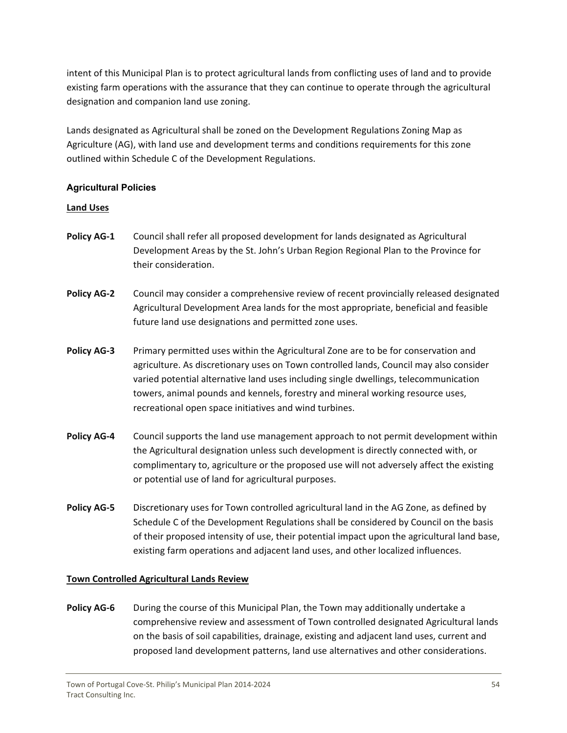intent of this Municipal Plan is to protect agricultural lands from conflicting uses of land and to provide existing farm operations with the assurance that they can continue to operate through the agricultural designation and companion land use zoning.

Lands designated as Agricultural shall be zoned on the Development Regulations Zoning Map as Agriculture (AG), with land use and development terms and conditions requirements for this zone outlined within Schedule C of the Development Regulations.

#### **Agricultural Policies**

#### **Land Uses**

- **Policy AG‐1**  Council shall refer all proposed development for lands designated as Agricultural Development Areas by the St. John's Urban Region Regional Plan to the Province for their consideration.
- **Policy AG‐2**  Council may consider a comprehensive review of recent provincially released designated Agricultural Development Area lands for the most appropriate, beneficial and feasible future land use designations and permitted zone uses.
- **Policy AG‐3**  Primary permitted uses within the Agricultural Zone are to be for conservation and agriculture. As discretionary uses on Town controlled lands, Council may also consider varied potential alternative land uses including single dwellings, telecommunication towers, animal pounds and kennels, forestry and mineral working resource uses, recreational open space initiatives and wind turbines.
- **Policy AG‐4**  Council supports the land use management approach to not permit development within the Agricultural designation unless such development is directly connected with, or complimentary to, agriculture or the proposed use will not adversely affect the existing or potential use of land for agricultural purposes.
- **Policy AG‐5**  Discretionary uses for Town controlled agricultural land in the AG Zone, as defined by Schedule C of the Development Regulations shall be considered by Council on the basis of their proposed intensity of use, their potential impact upon the agricultural land base, existing farm operations and adjacent land uses, and other localized influences.

#### **Town Controlled Agricultural Lands Review**

**Policy AG‐6**  During the course of this Municipal Plan, the Town may additionally undertake a comprehensive review and assessment of Town controlled designated Agricultural lands on the basis of soil capabilities, drainage, existing and adjacent land uses, current and proposed land development patterns, land use alternatives and other considerations.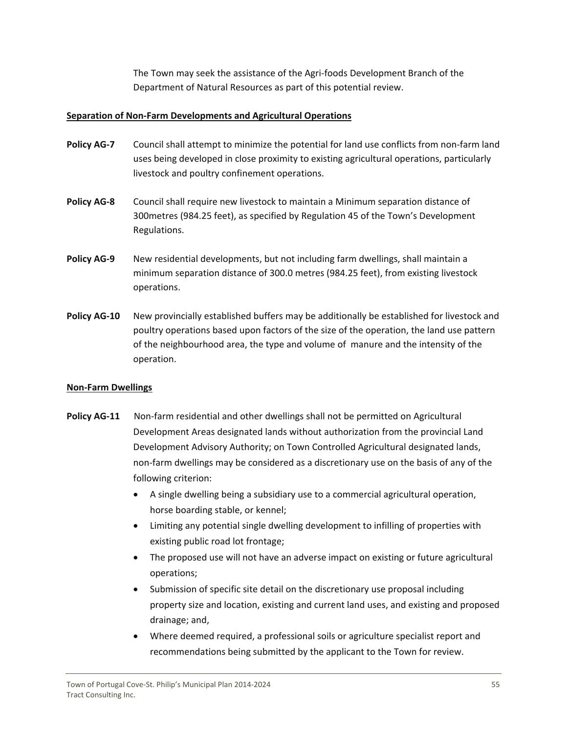The Town may seek the assistance of the Agri‐foods Development Branch of the Department of Natural Resources as part of this potential review.

#### **Separation of Non‐Farm Developments and Agricultural Operations**

- **Policy AG‐7**  Council shall attempt to minimize the potential for land use conflicts from non‐farm land uses being developed in close proximity to existing agricultural operations, particularly livestock and poultry confinement operations.
- **Policy AG‐8**  Council shall require new livestock to maintain a Minimum separation distance of 300metres (984.25 feet), as specified by Regulation 45 of the Town's Development Regulations.
- **Policy AG‐9**  New residential developments, but not including farm dwellings, shall maintain a minimum separation distance of 300.0 metres (984.25 feet), from existing livestock operations.
- **Policy AG‐10**  New provincially established buffers may be additionally be established for livestock and poultry operations based upon factors of the size of the operation, the land use pattern of the neighbourhood area, the type and volume of manure and the intensity of the operation.

#### **Non‐Farm Dwellings**

- **Policy AG‐11** Non‐farm residential and other dwellings shall not be permitted on Agricultural Development Areas designated lands without authorization from the provincial Land Development Advisory Authority; on Town Controlled Agricultural designated lands, non‐farm dwellings may be considered as a discretionary use on the basis of any of the following criterion:
	- A single dwelling being a subsidiary use to a commercial agricultural operation, horse boarding stable, or kennel;
	- Limiting any potential single dwelling development to infilling of properties with existing public road lot frontage;
	- The proposed use will not have an adverse impact on existing or future agricultural operations;
	- Submission of specific site detail on the discretionary use proposal including property size and location, existing and current land uses, and existing and proposed drainage; and,
	- Where deemed required, a professional soils or agriculture specialist report and recommendations being submitted by the applicant to the Town for review.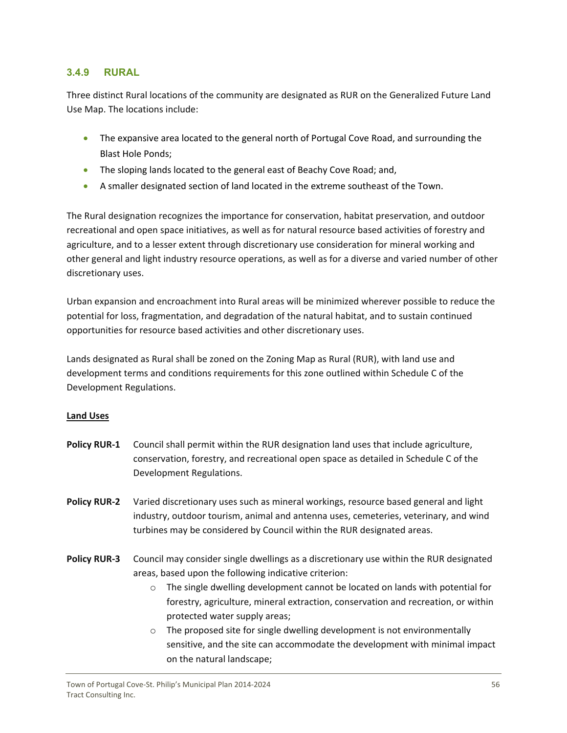### <span id="page-56-0"></span>**3.4.9 RURAL**

Three distinct Rural locations of the community are designated as RUR on the Generalized Future Land Use Map. The locations include:

- The expansive area located to the general north of Portugal Cove Road, and surrounding the Blast Hole Ponds;
- The sloping lands located to the general east of Beachy Cove Road; and,
- A smaller designated section of land located in the extreme southeast of the Town.

The Rural designation recognizes the importance for conservation, habitat preservation, and outdoor recreational and open space initiatives, as well as for natural resource based activities of forestry and agriculture, and to a lesser extent through discretionary use consideration for mineral working and other general and light industry resource operations, as well as for a diverse and varied number of other discretionary uses.

Urban expansion and encroachment into Rural areas will be minimized wherever possible to reduce the potential for loss, fragmentation, and degradation of the natural habitat, and to sustain continued opportunities for resource based activities and other discretionary uses.

Lands designated as Rural shall be zoned on the Zoning Map as Rural (RUR), with land use and development terms and conditions requirements for this zone outlined within Schedule C of the Development Regulations.

#### **Land Uses**

- **Policy RUR‐1**  Council shall permit within the RUR designation land uses that include agriculture, conservation, forestry, and recreational open space as detailed in Schedule C of the Development Regulations.
- **Policy RUR‐2** Varied discretionary uses such as mineral workings, resource based general and light industry, outdoor tourism, animal and antenna uses, cemeteries, veterinary, and wind turbines may be considered by Council within the RUR designated areas.
- **Policy RUR‐3**  Council may consider single dwellings as a discretionary use within the RUR designated areas, based upon the following indicative criterion:
	- $\circ$  The single dwelling development cannot be located on lands with potential for forestry, agriculture, mineral extraction, conservation and recreation, or within protected water supply areas;
	- o The proposed site for single dwelling development is not environmentally sensitive, and the site can accommodate the development with minimal impact on the natural landscape;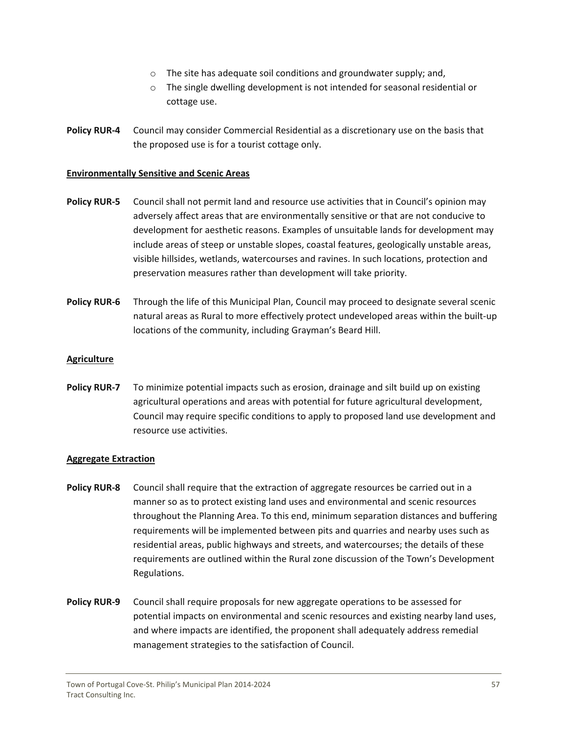- o The site has adequate soil conditions and groundwater supply; and,
- o The single dwelling development is not intended for seasonal residential or cottage use.
- **Policy RUR‐4**  Council may consider Commercial Residential as a discretionary use on the basis that the proposed use is for a tourist cottage only.

#### **Environmentally Sensitive and Scenic Areas**

- **Policy RUR‐5**  Council shall not permit land and resource use activities that in Council's opinion may adversely affect areas that are environmentally sensitive or that are not conducive to development for aesthetic reasons. Examples of unsuitable lands for development may include areas of steep or unstable slopes, coastal features, geologically unstable areas, visible hillsides, wetlands, watercourses and ravines. In such locations, protection and preservation measures rather than development will take priority.
- **Policy RUR‐6**  Through the life of this Municipal Plan, Council may proceed to designate several scenic natural areas as Rural to more effectively protect undeveloped areas within the built‐up locations of the community, including Grayman's Beard Hill.

#### **Agriculture**

**Policy RUR‐7**  To minimize potential impacts such as erosion, drainage and silt build up on existing agricultural operations and areas with potential for future agricultural development, Council may require specific conditions to apply to proposed land use development and resource use activities.

#### **Aggregate Extraction**

- **Policy RUR‐8** Council shall require that the extraction of aggregate resources be carried out in a manner so as to protect existing land uses and environmental and scenic resources throughout the Planning Area. To this end, minimum separation distances and buffering requirements will be implemented between pits and quarries and nearby uses such as residential areas, public highways and streets, and watercourses; the details of these requirements are outlined within the Rural zone discussion of the Town's Development Regulations.
- **Policy RUR‐9** Council shall require proposals for new aggregate operations to be assessed for potential impacts on environmental and scenic resources and existing nearby land uses, and where impacts are identified, the proponent shall adequately address remedial management strategies to the satisfaction of Council.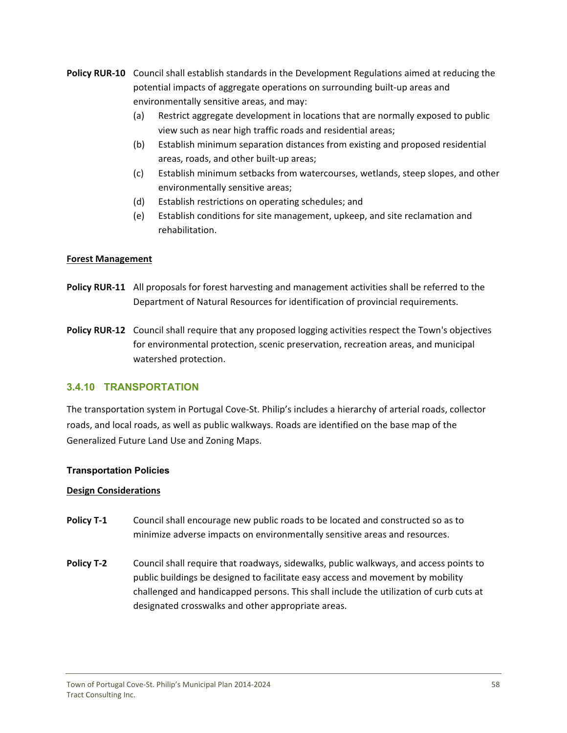- <span id="page-58-0"></span>**Policy RUR‐10**  Council shall establish standards in the Development Regulations aimed at reducing the potential impacts of aggregate operations on surrounding built‐up areas and environmentally sensitive areas, and may:
	- (a) Restrict aggregate development in locations that are normally exposed to public view such as near high traffic roads and residential areas;
	- (b) Establish minimum separation distances from existing and proposed residential areas, roads, and other built‐up areas;
	- (c) Establish minimum setbacks from watercourses, wetlands, steep slopes, and other environmentally sensitive areas;
	- (d) Establish restrictions on operating schedules; and
	- (e) Establish conditions for site management, upkeep, and site reclamation and rehabilitation.

#### **Forest Management**

- **Policy RUR‐11**  All proposals for forest harvesting and management activities shall be referred to the Department of Natural Resources for identification of provincial requirements.
- **Policy RUR‐12**  Council shall require that any proposed logging activities respect the Town's objectives for environmental protection, scenic preservation, recreation areas, and municipal watershed protection.

#### **3.4.10 TRANSPORTATION**

The transportation system in Portugal Cove‐St. Philip's includes a hierarchy of arterial roads, collector roads, and local roads, as well as public walkways. Roads are identified on the base map of the Generalized Future Land Use and Zoning Maps.

#### **Transportation Policies**

#### **Design Considerations**

- **Policy T‐1** Council shall encourage new public roads to be located and constructed so as to minimize adverse impacts on environmentally sensitive areas and resources.
- **Policy T‐2** Council shall require that roadways, sidewalks, public walkways, and access points to public buildings be designed to facilitate easy access and movement by mobility challenged and handicapped persons. This shall include the utilization of curb cuts at designated crosswalks and other appropriate areas.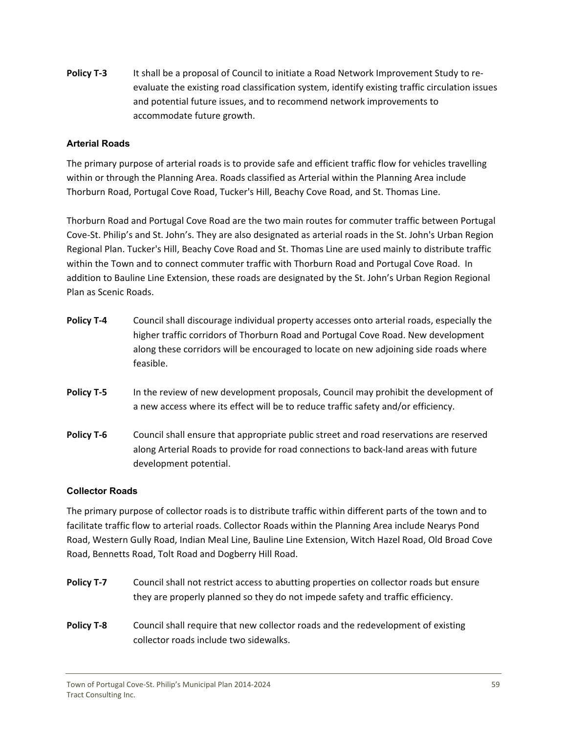**Policy T‐3** It shall be a proposal of Council to initiate a Road Network Improvement Study to re‐ evaluate the existing road classification system, identify existing traffic circulation issues and potential future issues, and to recommend network improvements to accommodate future growth.

#### **Arterial Roads**

The primary purpose of arterial roads is to provide safe and efficient traffic flow for vehicles travelling within or through the Planning Area. Roads classified as Arterial within the Planning Area include Thorburn Road, Portugal Cove Road, Tucker's Hill, Beachy Cove Road, and St. Thomas Line.

Thorburn Road and Portugal Cove Road are the two main routes for commuter traffic between Portugal Cove‐St. Philip's and St. John's. They are also designated as arterial roads in the St. John's Urban Region Regional Plan. Tucker's Hill, Beachy Cove Road and St. Thomas Line are used mainly to distribute traffic within the Town and to connect commuter traffic with Thorburn Road and Portugal Cove Road. In addition to Bauline Line Extension, these roads are designated by the St. John's Urban Region Regional Plan as Scenic Roads.

- **Policy T‐4** Council shall discourage individual property accesses onto arterial roads, especially the higher traffic corridors of Thorburn Road and Portugal Cove Road. New development along these corridors will be encouraged to locate on new adjoining side roads where feasible.
- **Policy T-5** In the review of new development proposals, Council may prohibit the development of a new access where its effect will be to reduce traffic safety and/or efficiency.
- **Policy <b>T-6** Council shall ensure that appropriate public street and road reservations are reserved along Arterial Roads to provide for road connections to back‐land areas with future development potential.

#### **Collector Roads**

The primary purpose of collector roads is to distribute traffic within different parts of the town and to facilitate traffic flow to arterial roads. Collector Roads within the Planning Area include Nearys Pond Road, Western Gully Road, Indian Meal Line, Bauline Line Extension, Witch Hazel Road, Old Broad Cove Road, Bennetts Road, Tolt Road and Dogberry Hill Road.

- **Policy <b>T-7** Council shall not restrict access to abutting properties on collector roads but ensure they are properly planned so they do not impede safety and traffic efficiency.
- **Policy T-8** Council shall require that new collector roads and the redevelopment of existing collector roads include two sidewalks.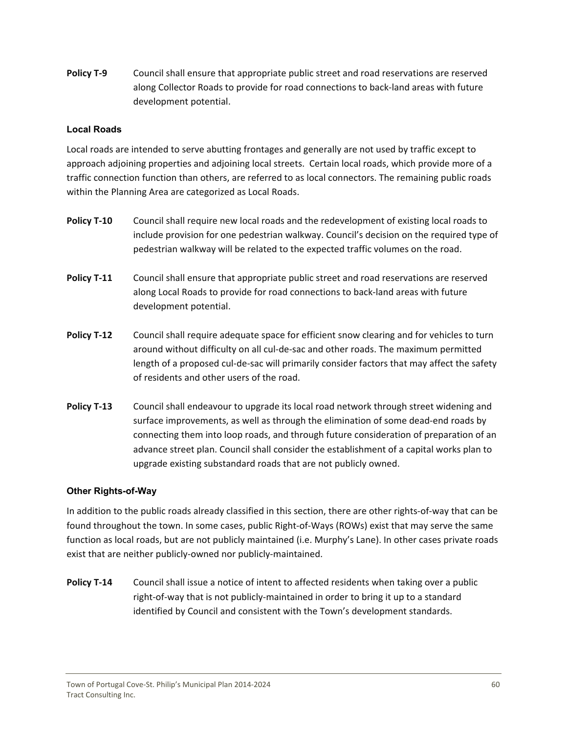**Policy T‐9** Council shall ensure that appropriate public street and road reservations are reserved along Collector Roads to provide for road connections to back‐land areas with future development potential.

#### **Local Roads**

Local roads are intended to serve abutting frontages and generally are not used by traffic except to approach adjoining properties and adjoining local streets. Certain local roads, which provide more of a traffic connection function than others, are referred to as local connectors. The remaining public roads within the Planning Area are categorized as Local Roads.

- **Policy T‐10** Council shall require new local roads and the redevelopment of existing local roads to include provision for one pedestrian walkway. Council's decision on the required type of pedestrian walkway will be related to the expected traffic volumes on the road.
- **Policy T‐11** Council shall ensure that appropriate public street and road reservations are reserved along Local Roads to provide for road connections to back‐land areas with future development potential.
- **Policy <b>T-12** Council shall require adequate space for efficient snow clearing and for vehicles to turn around without difficulty on all cul‐de‐sac and other roads. The maximum permitted length of a proposed cul-de-sac will primarily consider factors that may affect the safety of residents and other users of the road.
- **Policy T‐13** Council shall endeavour to upgrade its local road network through street widening and surface improvements, as well as through the elimination of some dead-end roads by connecting them into loop roads, and through future consideration of preparation of an advance street plan. Council shall consider the establishment of a capital works plan to upgrade existing substandard roads that are not publicly owned.

#### **Other Rights-of-Way**

In addition to the public roads already classified in this section, there are other rights‐of‐way that can be found throughout the town. In some cases, public Right‐of‐Ways (ROWs) exist that may serve the same function as local roads, but are not publicly maintained (i.e. Murphy's Lane). In other cases private roads exist that are neither publicly‐owned nor publicly‐maintained.

**Policy T‐14** Council shall issue a notice of intent to affected residents when taking over a public right‐of‐way that is not publicly‐maintained in order to bring it up to a standard identified by Council and consistent with the Town's development standards.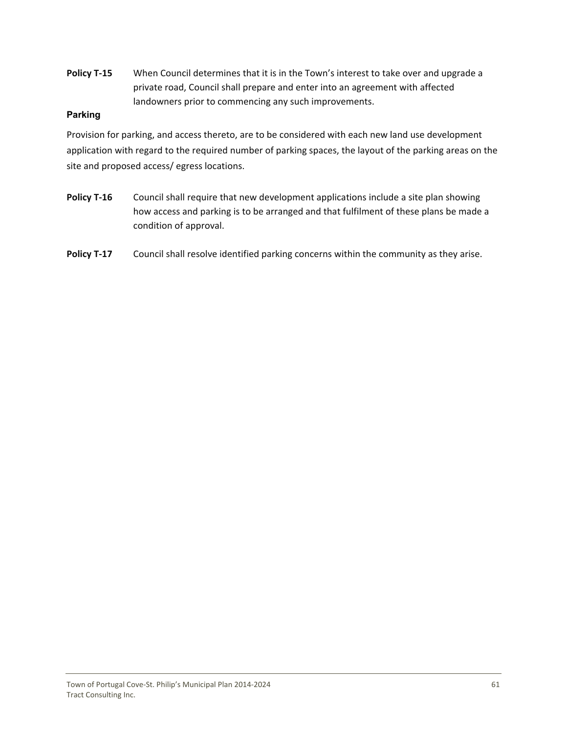**Policy T‐15** When Council determines that it is in the Town's interest to take over and upgrade a private road, Council shall prepare and enter into an agreement with affected landowners prior to commencing any such improvements.

#### **Parking**

Provision for parking, and access thereto, are to be considered with each new land use development application with regard to the required number of parking spaces, the layout of the parking areas on the site and proposed access/ egress locations.

- **Policy T‐16** Council shall require that new development applications include a site plan showing how access and parking is to be arranged and that fulfilment of these plans be made a condition of approval.
- **Policy T-17** Council shall resolve identified parking concerns within the community as they arise.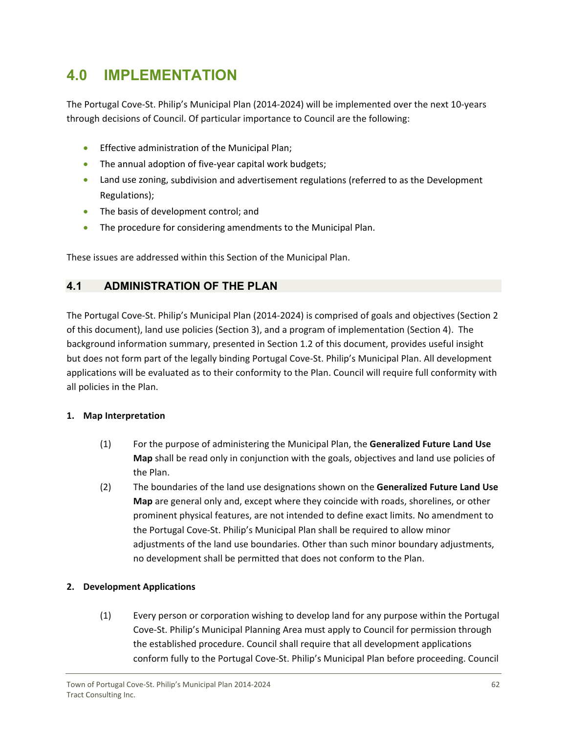# <span id="page-62-0"></span>**4.0 IMPLEMENTATION**

The Portugal Cove‐St. Philip's Municipal Plan (2014‐2024) will be implemented over the next 10‐years through decisions of Council. Of particular importance to Council are the following:

- **•** Effective administration of the Municipal Plan;
- The annual adoption of five-year capital work budgets;
- Land use zoning, subdivision and advertisement regulations (referred to as the Development Regulations);
- The basis of development control; and
- The procedure for considering amendments to the Municipal Plan.

These issues are addressed within this Section of the Municipal Plan.

# **4.1 ADMINISTRATION OF THE PLAN**

The Portugal Cove‐St. Philip's Municipal Plan (2014‐2024) is comprised of goals and objectives (Section 2 of this document), land use policies (Section 3), and a program of implementation (Section 4). The background information summary, presented in Section 1.2 of this document, provides useful insight but does not form part of the legally binding Portugal Cove‐St. Philip's Municipal Plan. All development applications will be evaluated as to their conformity to the Plan. Council will require full conformity with all policies in the Plan.

# **1. Map Interpretation**

- (1) For the purpose of administering the Municipal Plan, the **Generalized Future Land Use Map** shall be read only in conjunction with the goals, objectives and land use policies of the Plan.
- (2) The boundaries of the land use designations shown on the **Generalized Future Land Use Map** are general only and, except where they coincide with roads, shorelines, or other prominent physical features, are not intended to define exact limits. No amendment to the Portugal Cove‐St. Philip's Municipal Plan shall be required to allow minor adjustments of the land use boundaries. Other than such minor boundary adjustments, no development shall be permitted that does not conform to the Plan.

# **2. Development Applications**

(1) Every person or corporation wishing to develop land for any purpose within the Portugal Cove‐St. Philip's Municipal Planning Area must apply to Council for permission through the established procedure. Council shall require that all development applications conform fully to the Portugal Cove‐St. Philip's Municipal Plan before proceeding. Council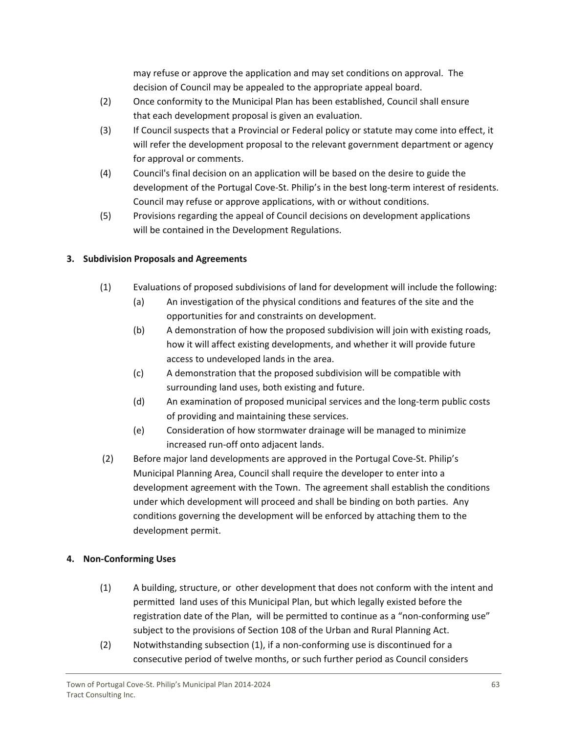may refuse or approve the application and may set conditions on approval. The decision of Council may be appealed to the appropriate appeal board.

- (2) Once conformity to the Municipal Plan has been established, Council shall ensure that each development proposal is given an evaluation.
- (3) If Council suspects that a Provincial or Federal policy or statute may come into effect, it will refer the development proposal to the relevant government department or agency for approval or comments.
- (4) Council's final decision on an application will be based on the desire to guide the development of the Portugal Cove‐St. Philip's in the best long‐term interest of residents. Council may refuse or approve applications, with or without conditions.
- (5) Provisions regarding the appeal of Council decisions on development applications will be contained in the Development Regulations.

# **3. Subdivision Proposals and Agreements**

- (1) Evaluations of proposed subdivisions of land for development will include the following:
	- (a) An investigation of the physical conditions and features of the site and the opportunities for and constraints on development.
	- (b) A demonstration of how the proposed subdivision will join with existing roads, how it will affect existing developments, and whether it will provide future access to undeveloped lands in the area.
	- (c) A demonstration that the proposed subdivision will be compatible with surrounding land uses, both existing and future.
	- (d) An examination of proposed municipal services and the long‐term public costs of providing and maintaining these services.
	- (e) Consideration of how stormwater drainage will be managed to minimize increased run‐off onto adjacent lands.
- (2) Before major land developments are approved in the Portugal Cove‐St. Philip's Municipal Planning Area, Council shall require the developer to enter into a development agreement with the Town. The agreement shall establish the conditions under which development will proceed and shall be binding on both parties. Any conditions governing the development will be enforced by attaching them to the development permit.

# **4. Non‐Conforming Uses**

- (1) A building, structure, or other development that does not conform with the intent and permitted land uses of this Municipal Plan, but which legally existed before the registration date of the Plan, will be permitted to continue as a "non-conforming use" subject to the provisions of Section 108 of the Urban and Rural Planning Act.
- (2) Notwithstanding subsection (1), if a non‐conforming use is discontinued for a consecutive period of twelve months, or such further period as Council considers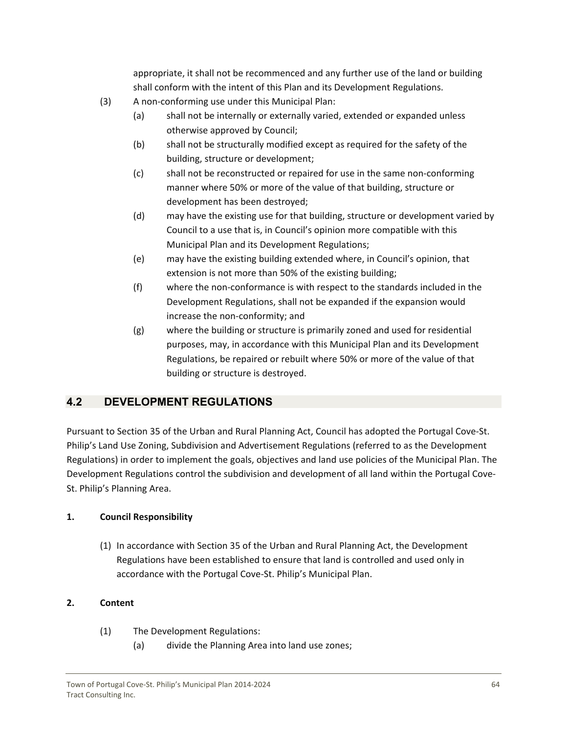appropriate, it shall not be recommenced and any further use of the land or building shall conform with the intent of this Plan and its Development Regulations.

- <span id="page-64-0"></span>(3) A non‐conforming use under this Municipal Plan:
	- (a) shall not be internally or externally varied, extended or expanded unless otherwise approved by Council;
	- (b) shall not be structurally modified except as required for the safety of the building, structure or development;
	- (c) shall not be reconstructed or repaired for use in the same non‐conforming manner where 50% or more of the value of that building, structure or development has been destroyed;
	- (d) may have the existing use for that building, structure or development varied by Council to a use that is, in Council's opinion more compatible with this Municipal Plan and its Development Regulations;
	- (e) may have the existing building extended where, in Council's opinion, that extension is not more than 50% of the existing building;
	- (f) where the non‐conformance is with respect to the standards included in the Development Regulations, shall not be expanded if the expansion would increase the non‐conformity; and
	- (g) where the building or structure is primarily zoned and used for residential purposes, may, in accordance with this Municipal Plan and its Development Regulations, be repaired or rebuilt where 50% or more of the value of that building or structure is destroyed.

# **4.2 DEVELOPMENT REGULATIONS**

Pursuant to Section 35 of the Urban and Rural Planning Act, Council has adopted the Portugal Cove‐St. Philip's Land Use Zoning, Subdivision and Advertisement Regulations (referred to as the Development Regulations) in order to implement the goals, objectives and land use policies of the Municipal Plan. The Development Regulations control the subdivision and development of all land within the Portugal Cove-St. Philip's Planning Area.

# **1. Council Responsibility**

(1) In accordance with Section 35 of the Urban and Rural Planning Act, the Development Regulations have been established to ensure that land is controlled and used only in accordance with the Portugal Cove‐St. Philip's Municipal Plan.

# **2. Content**

- (1) The Development Regulations:
	- (a) divide the Planning Area into land use zones;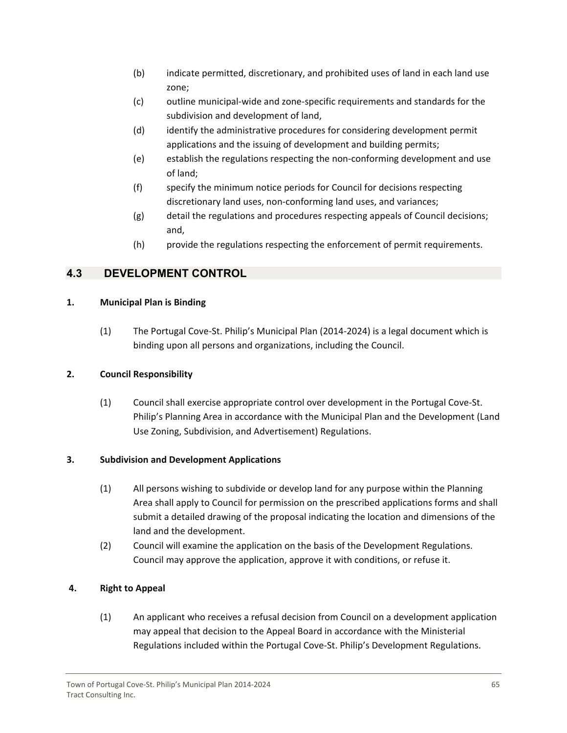- <span id="page-65-0"></span>(b) indicate permitted, discretionary, and prohibited uses of land in each land use zone;
- (c) outline municipal‐wide and zone‐specific requirements and standards for the subdivision and development of land,
- (d) identify the administrative procedures for considering development permit applications and the issuing of development and building permits;
- (e) establish the regulations respecting the non‐conforming development and use of land;
- (f) specify the minimum notice periods for Council for decisions respecting discretionary land uses, non‐conforming land uses, and variances;
- (g) detail the regulations and procedures respecting appeals of Council decisions; and,
- (h) provide the regulations respecting the enforcement of permit requirements.

# **4.3 DEVELOPMENT CONTROL**

# **1. Municipal Plan is Binding**

(1) The Portugal Cove‐St. Philip's Municipal Plan (2014‐2024) is a legal document which is binding upon all persons and organizations, including the Council.

# **2. Council Responsibility**

(1) Council shall exercise appropriate control over development in the Portugal Cove‐St. Philip's Planning Area in accordance with the Municipal Plan and the Development (Land Use Zoning, Subdivision, and Advertisement) Regulations.

# **3. Subdivision and Development Applications**

- (1) All persons wishing to subdivide or develop land for any purpose within the Planning Area shall apply to Council for permission on the prescribed applications forms and shall submit a detailed drawing of the proposal indicating the location and dimensions of the land and the development.
- (2) Council will examine the application on the basis of the Development Regulations. Council may approve the application, approve it with conditions, or refuse it.

# **4. Right to Appeal**

(1) An applicant who receives a refusal decision from Council on a development application may appeal that decision to the Appeal Board in accordance with the Ministerial Regulations included within the Portugal Cove‐St. Philip's Development Regulations.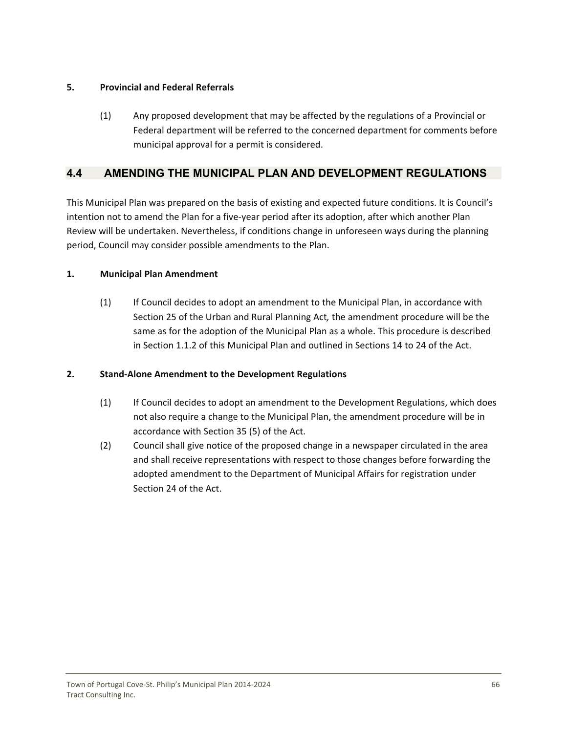### <span id="page-66-0"></span>**5. Provincial and Federal Referrals**

(1) Any proposed development that may be affected by the regulations of a Provincial or Federal department will be referred to the concerned department for comments before municipal approval for a permit is considered.

# **4.4 AMENDING THE MUNICIPAL PLAN AND DEVELOPMENT REGULATIONS**

This Municipal Plan was prepared on the basis of existing and expected future conditions. It is Council's intention not to amend the Plan for a five‐year period after its adoption, after which another Plan Review will be undertaken. Nevertheless, if conditions change in unforeseen ways during the planning period, Council may consider possible amendments to the Plan.

### **1. Municipal Plan Amendment**

(1) If Council decides to adopt an amendment to the Municipal Plan, in accordance with Section 25 of the Urban and Rural Planning Act*,* the amendment procedure will be the same as for the adoption of the Municipal Plan as a whole. This procedure is described in Section 1.1.2 of this Municipal Plan and outlined in Sections 14 to 24 of the Act.

# **2. Stand‐Alone Amendment to the Development Regulations**

- (1) If Council decides to adopt an amendment to the Development Regulations, which does not also require a change to the Municipal Plan, the amendment procedure will be in accordance with Section 35 (5) of the Act.
- (2) Council shall give notice of the proposed change in a newspaper circulated in the area and shall receive representations with respect to those changes before forwarding the adopted amendment to the Department of Municipal Affairs for registration under Section 24 of the Act.